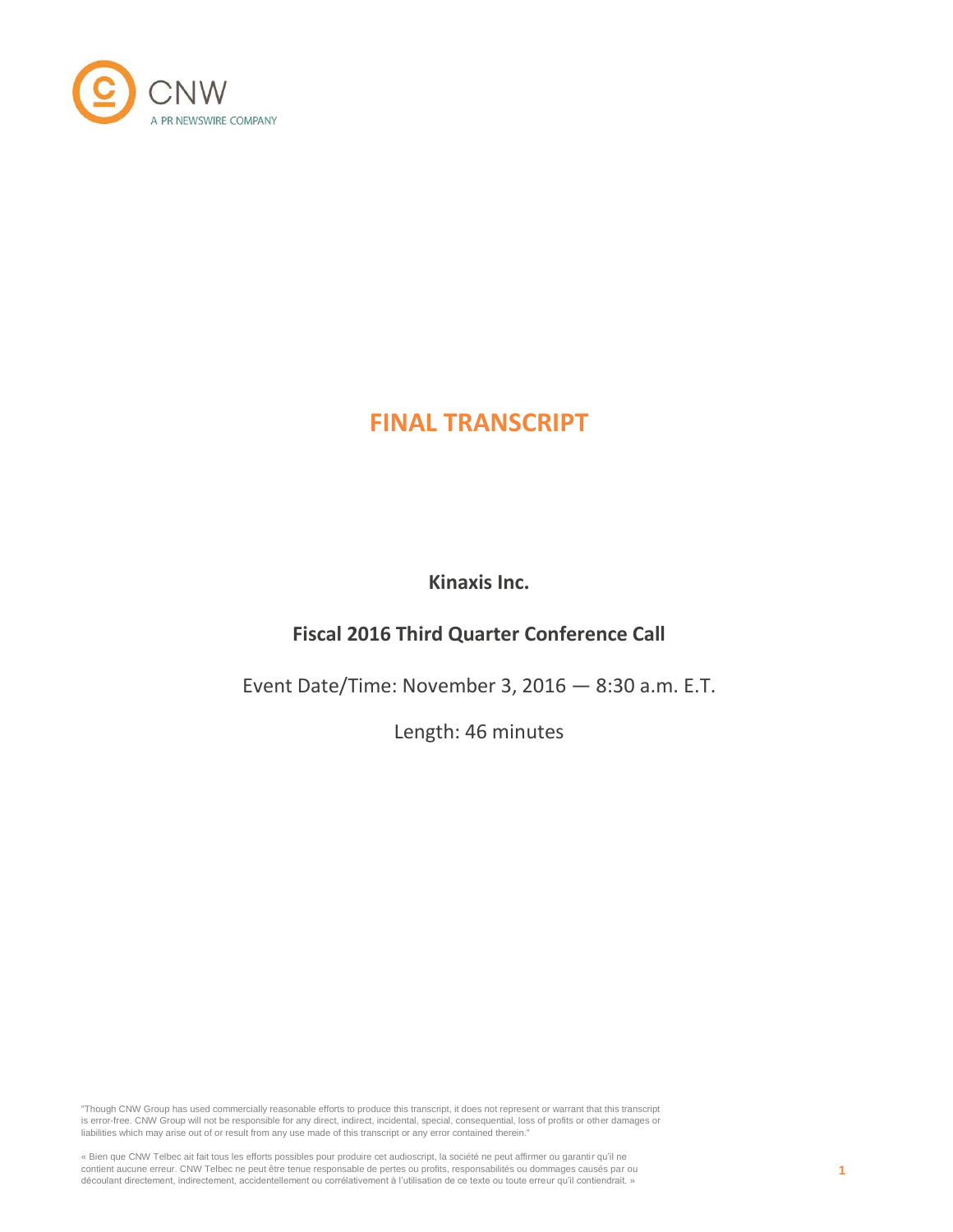

# **FINAL TRANSCRIPT**

**Kinaxis Inc.**

# **Fiscal 2016 Third Quarter Conference Call**

Event Date/Time: November 3, 2016 — 8:30 a.m. E.T.

Length: 46 minutes

"Though CNW Group has used commercially reasonable efforts to produce this transcript, it does not represent or warrant that this transcript is error-free. CNW Group will not be responsible for any direct, indirect, incidental, special, consequential, loss of profits or other damages or liabilities which may arise out of or result from any use made of this transcript or any error contained therein."

« Bien que CNW Telbec ait fait tous les efforts possibles pour produire cet audioscript, la société ne peut affirmer ou garantir qu'il ne contient aucune erreur. CNW Telbec ne peut être tenue responsable de pertes ou profits, responsabilités ou dommages causés par ou découlant directement, indirectement, accidentellement ou corrélativement à l'utilisation de ce texte ou toute erreur qu'il contiendrait. »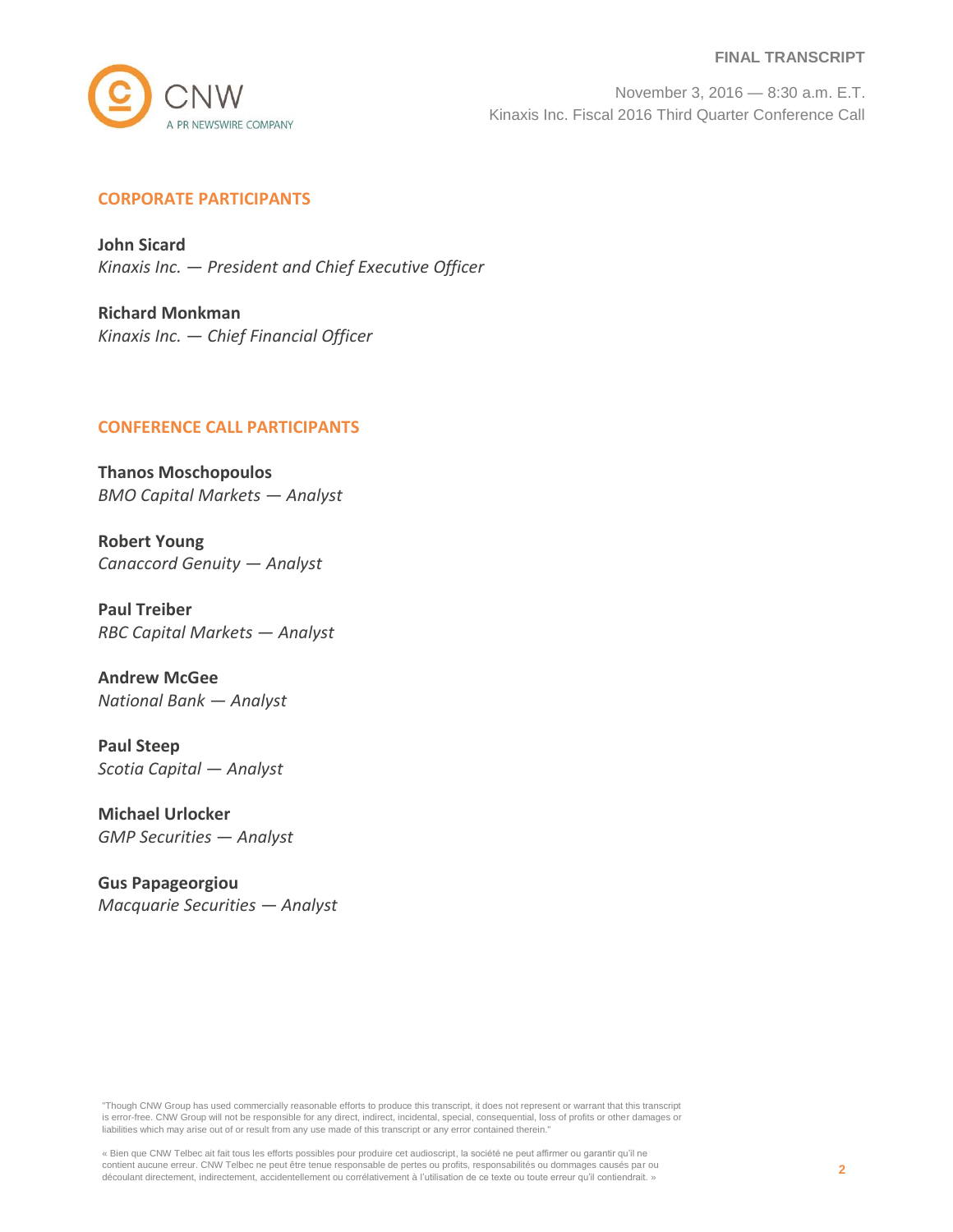#### **FINAL TRANSCRIPT**



November 3, 2016 — 8:30 a.m. E.T. Kinaxis Inc. Fiscal 2016 Third Quarter Conference Call

## **CORPORATE PARTICIPANTS**

**John Sicard** *Kinaxis Inc. — President and Chief Executive Officer*

**Richard Monkman** *Kinaxis Inc. — Chief Financial Officer*

#### **CONFERENCE CALL PARTICIPANTS**

**Thanos Moschopoulos** *BMO Capital Markets — Analyst*

**Robert Young** *Canaccord Genuity — Analyst*

**Paul Treiber** *RBC Capital Markets — Analyst*

**Andrew McGee** *National Bank — Analyst*

**Paul Steep** *Scotia Capital — Analyst*

**Michael Urlocker** *GMP Securities — Analyst*

**Gus Papageorgiou** *Macquarie Securities — Analyst*

"Though CNW Group has used commercially reasonable efforts to produce this transcript, it does not represent or warrant that this transcript is error-free. CNW Group will not be responsible for any direct, indirect, incidental, special, consequential, loss of profits or other damages or liabilities which may arise out of or result from any use made of this transcript or any error contained therein."

« Bien que CNW Telbec ait fait tous les efforts possibles pour produire cet audioscript, la société ne peut affirmer ou garantir qu'il ne contient aucune erreur. CNW Telbec ne peut être tenue responsable de pertes ou profits, responsabilités ou dommages causés par ou découlant directement, indirectement, accidentellement ou corrélativement à l'utilisation de ce texte ou toute erreur qu'il contiendrait. »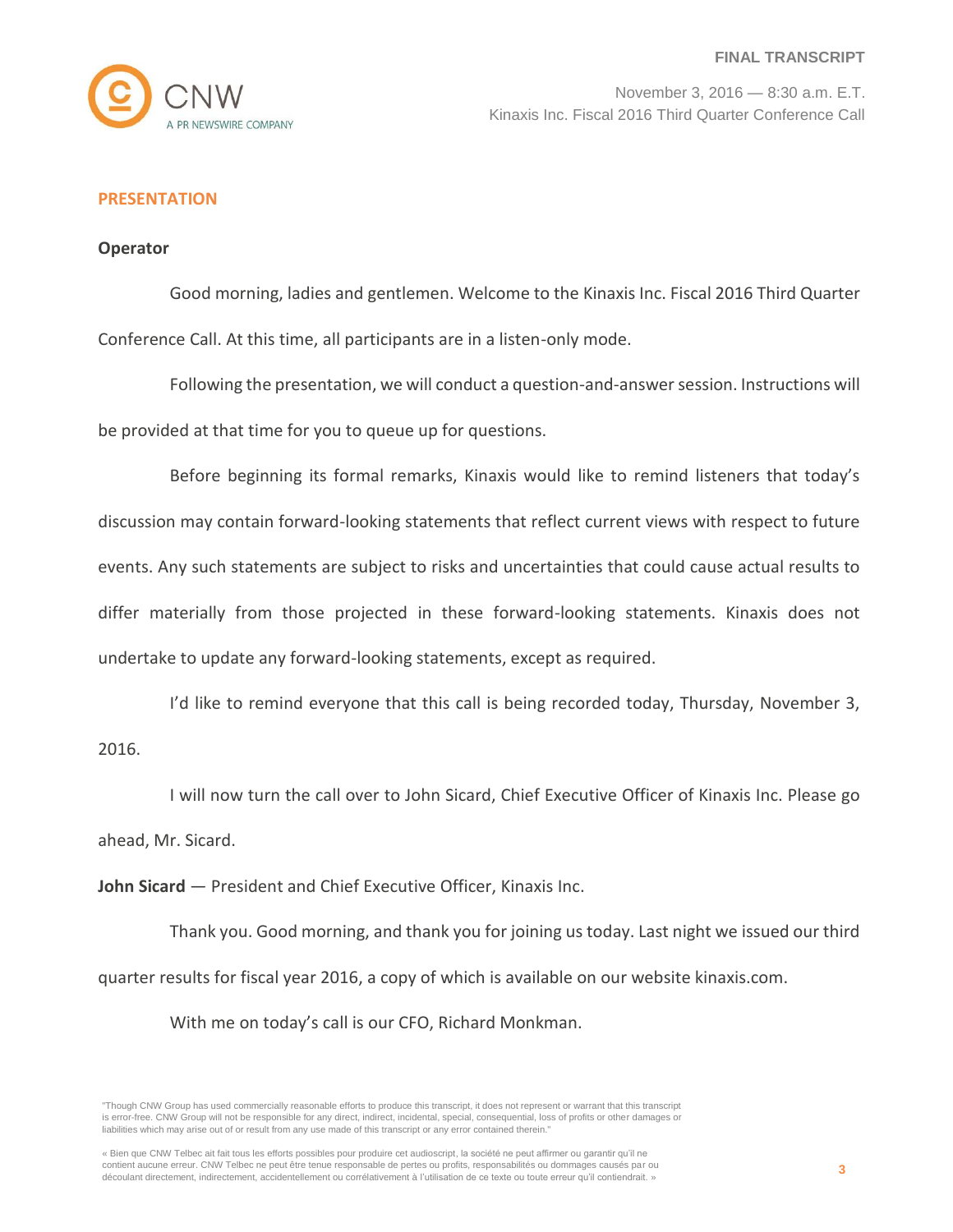

## **PRESENTATION**

#### **Operator**

Good morning, ladies and gentlemen. Welcome to the Kinaxis Inc. Fiscal 2016 Third Quarter Conference Call. At this time, all participants are in a listen-only mode.

Following the presentation, we will conduct a question-and-answer session. Instructions will be provided at that time for you to queue up for questions.

Before beginning its formal remarks, Kinaxis would like to remind listeners that today's discussion may contain forward-looking statements that reflect current views with respect to future events. Any such statements are subject to risks and uncertainties that could cause actual results to differ materially from those projected in these forward-looking statements. Kinaxis does not undertake to update any forward-looking statements, except as required.

I'd like to remind everyone that this call is being recorded today, Thursday, November 3,

2016.

I will now turn the call over to John Sicard, Chief Executive Officer of Kinaxis Inc. Please go ahead, Mr. Sicard.

**John Sicard** — President and Chief Executive Officer, Kinaxis Inc.

Thank you. Good morning, and thank you for joining us today. Last night we issued our third quarter results for fiscal year 2016, a copy of which is available on our website kinaxis.com.

With me on today's call is our CFO, Richard Monkman.

<sup>&</sup>quot;Though CNW Group has used commercially reasonable efforts to produce this transcript, it does not represent or warrant that this transcript is error-free. CNW Group will not be responsible for any direct, indirect, incidental, special, consequential, loss of profits or other damages or liabilities which may arise out of or result from any use made of this transcript or any error contained therein."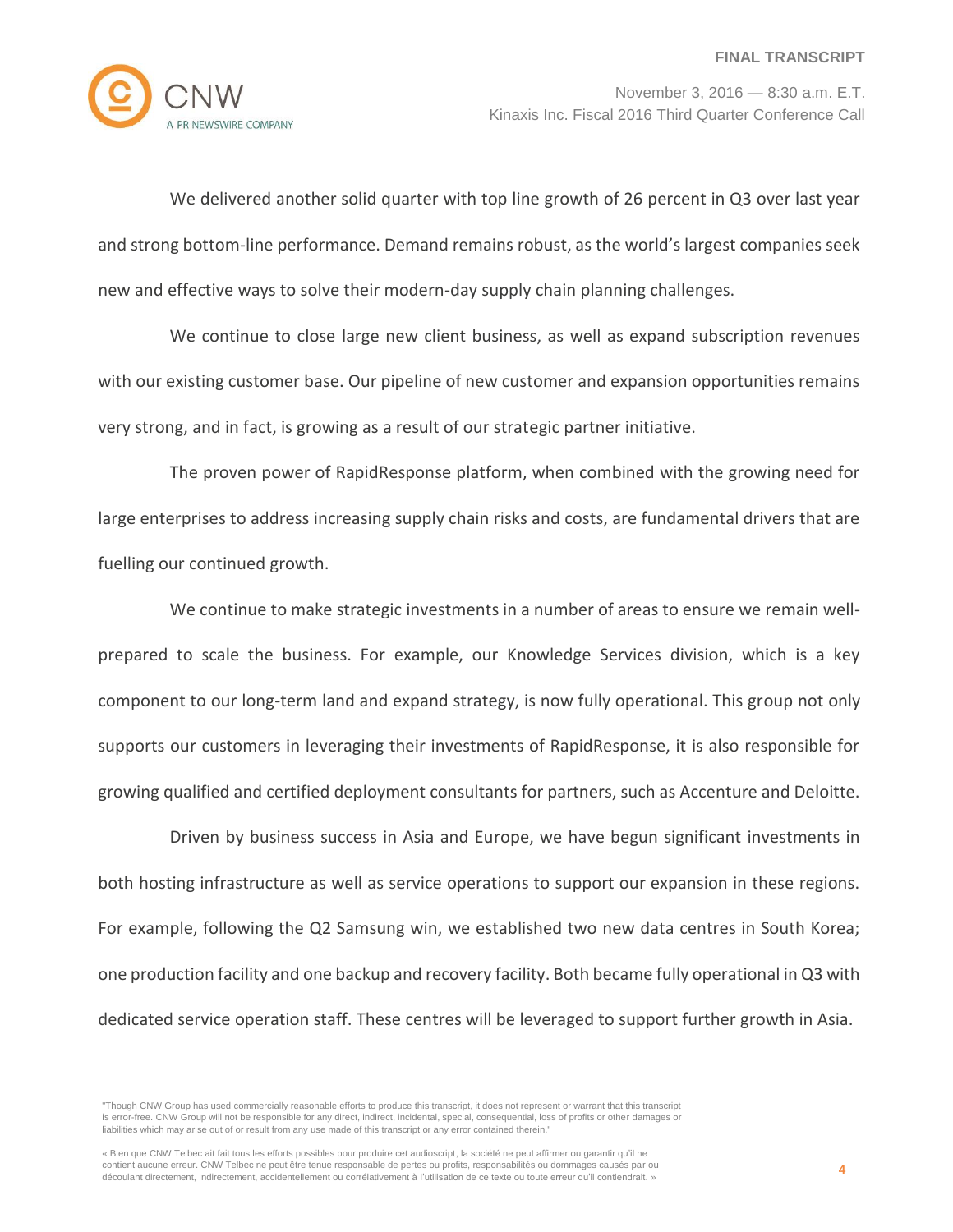

We delivered another solid quarter with top line growth of 26 percent in Q3 over last year and strong bottom-line performance. Demand remains robust, as the world's largest companies seek new and effective ways to solve their modern-day supply chain planning challenges.

We continue to close large new client business, as well as expand subscription revenues with our existing customer base. Our pipeline of new customer and expansion opportunities remains very strong, and in fact, is growing as a result of our strategic partner initiative.

The proven power of RapidResponse platform, when combined with the growing need for large enterprises to address increasing supply chain risks and costs, are fundamental drivers that are fuelling our continued growth.

We continue to make strategic investments in a number of areas to ensure we remain wellprepared to scale the business. For example, our Knowledge Services division, which is a key component to our long-term land and expand strategy, is now fully operational. This group not only supports our customers in leveraging their investments of RapidResponse, it is also responsible for growing qualified and certified deployment consultants for partners, such as Accenture and Deloitte.

Driven by business success in Asia and Europe, we have begun significant investments in both hosting infrastructure as well as service operations to support our expansion in these regions. For example, following the Q2 Samsung win, we established two new data centres in South Korea; one production facility and one backup and recovery facility. Both became fully operational in Q3 with dedicated service operation staff. These centres will be leveraged to support further growth in Asia.

<sup>&</sup>quot;Though CNW Group has used commercially reasonable efforts to produce this transcript, it does not represent or warrant that this transcript is error-free. CNW Group will not be responsible for any direct, indirect, incidental, special, consequential, loss of profits or other damages or liabilities which may arise out of or result from any use made of this transcript or any error contained therein."

<sup>«</sup> Bien que CNW Telbec ait fait tous les efforts possibles pour produire cet audioscript, la société ne peut affirmer ou garantir qu'il ne contient aucune erreur. CNW Telbec ne peut être tenue responsable de pertes ou profits, responsabilités ou dommages causés par ou découlant directement, indirectement, accidentellement ou corrélativement à l'utilisation de ce texte ou toute erreur qu'il contiendrait. »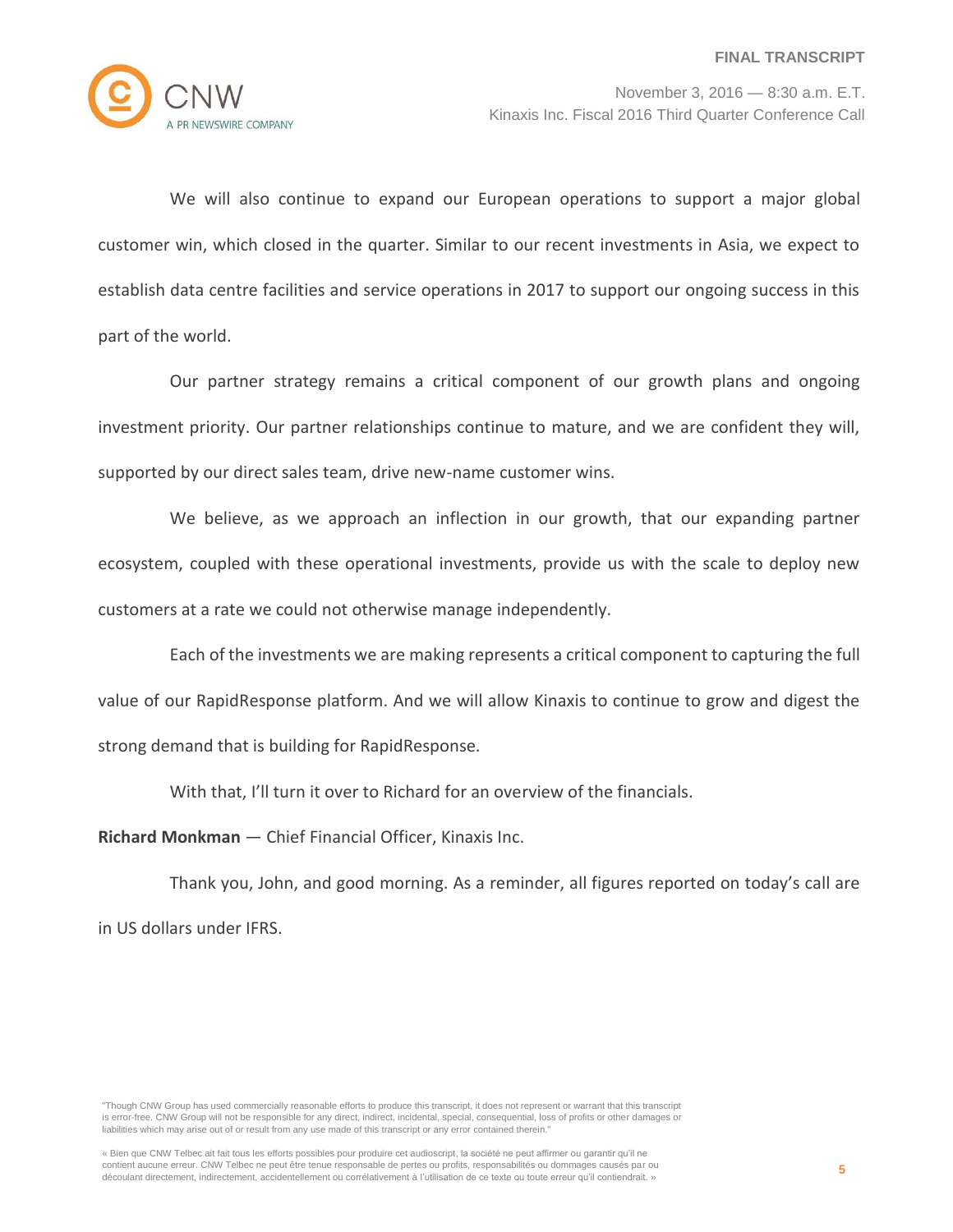

We will also continue to expand our European operations to support a major global customer win, which closed in the quarter. Similar to our recent investments in Asia, we expect to establish data centre facilities and service operations in 2017 to support our ongoing success in this part of the world.

Our partner strategy remains a critical component of our growth plans and ongoing investment priority. Our partner relationships continue to mature, and we are confident they will, supported by our direct sales team, drive new-name customer wins.

We believe, as we approach an inflection in our growth, that our expanding partner ecosystem, coupled with these operational investments, provide us with the scale to deploy new customers at a rate we could not otherwise manage independently.

Each of the investments we are making represents a critical component to capturing the full value of our RapidResponse platform. And we will allow Kinaxis to continue to grow and digest the strong demand that is building for RapidResponse.

With that, I'll turn it over to Richard for an overview of the financials.

**Richard Monkman** — Chief Financial Officer, Kinaxis Inc.

Thank you, John, and good morning. As a reminder, all figures reported on today's call are in US dollars under IFRS.

<sup>&</sup>quot;Though CNW Group has used commercially reasonable efforts to produce this transcript, it does not represent or warrant that this transcript is error-free. CNW Group will not be responsible for any direct, indirect, incidental, special, consequential, loss of profits or other damages or liabilities which may arise out of or result from any use made of this transcript or any error contained therein."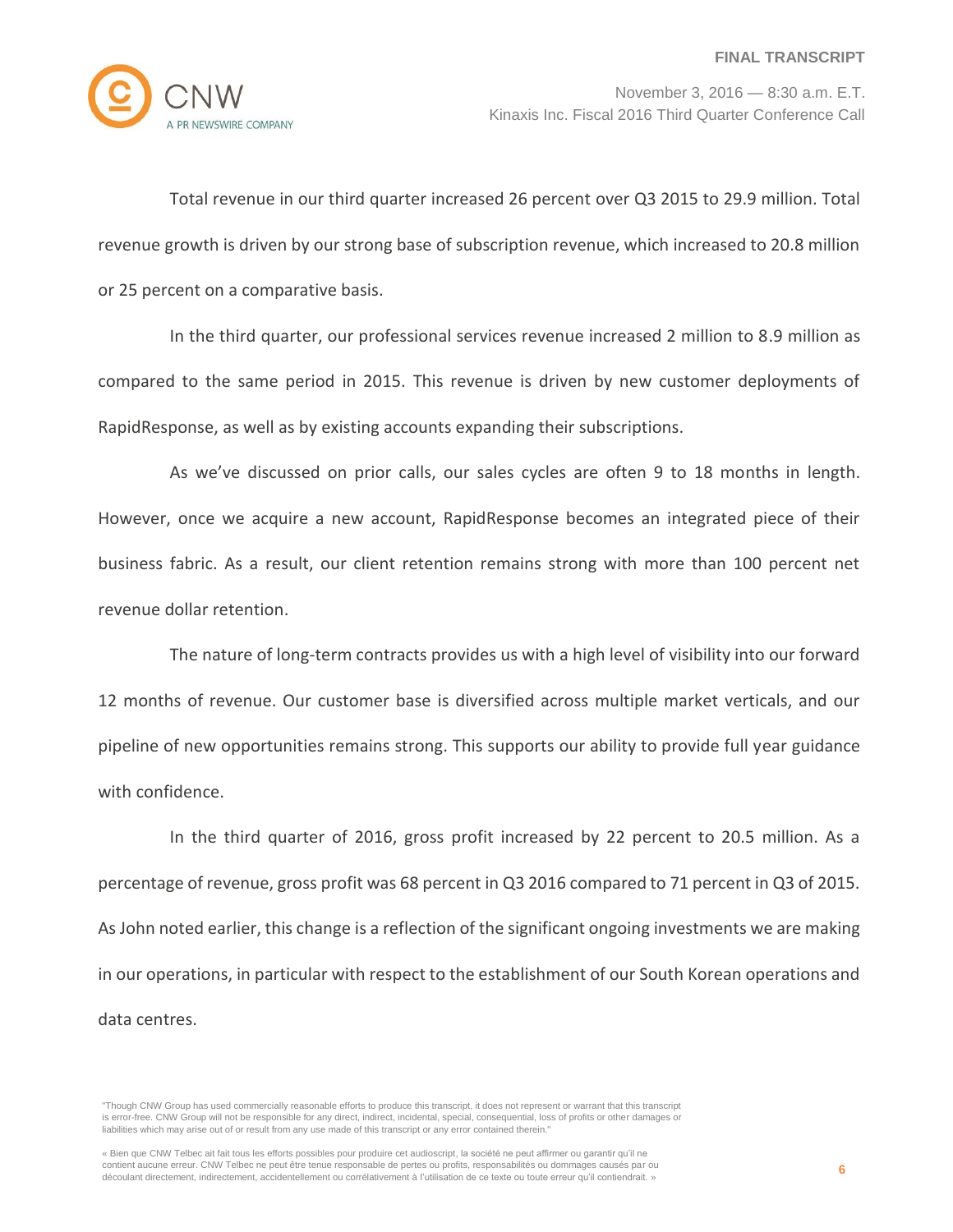

Total revenue in our third quarter increased 26 percent over Q3 2015 to 29.9 million. Total revenue growth is driven by our strong base of subscription revenue, which increased to 20.8 million or 25 percent on a comparative basis.

In the third quarter, our professional services revenue increased 2 million to 8.9 million as compared to the same period in 2015. This revenue is driven by new customer deployments of RapidResponse, as well as by existing accounts expanding their subscriptions.

As we've discussed on prior calls, our sales cycles are often 9 to 18 months in length. However, once we acquire a new account, RapidResponse becomes an integrated piece of their business fabric. As a result, our client retention remains strong with more than 100 percent net revenue dollar retention.

The nature of long-term contracts provides us with a high level of visibility into our forward 12 months of revenue. Our customer base is diversified across multiple market verticals, and our pipeline of new opportunities remains strong. This supports our ability to provide full year guidance with confidence.

In the third quarter of 2016, gross profit increased by 22 percent to 20.5 million. As a percentage of revenue, gross profit was 68 percent in Q3 2016 compared to 71 percent in Q3 of 2015. As John noted earlier, this change is a reflection of the significant ongoing investments we are making in our operations, in particular with respect to the establishment of our South Korean operations and data centres.

<sup>&</sup>quot;Though CNW Group has used commercially reasonable efforts to produce this transcript, it does not represent or warrant that this transcript is error-free. CNW Group will not be responsible for any direct, indirect, incidental, special, consequential, loss of profits or other damages or liabilities which may arise out of or result from any use made of this transcript or any error contained therein."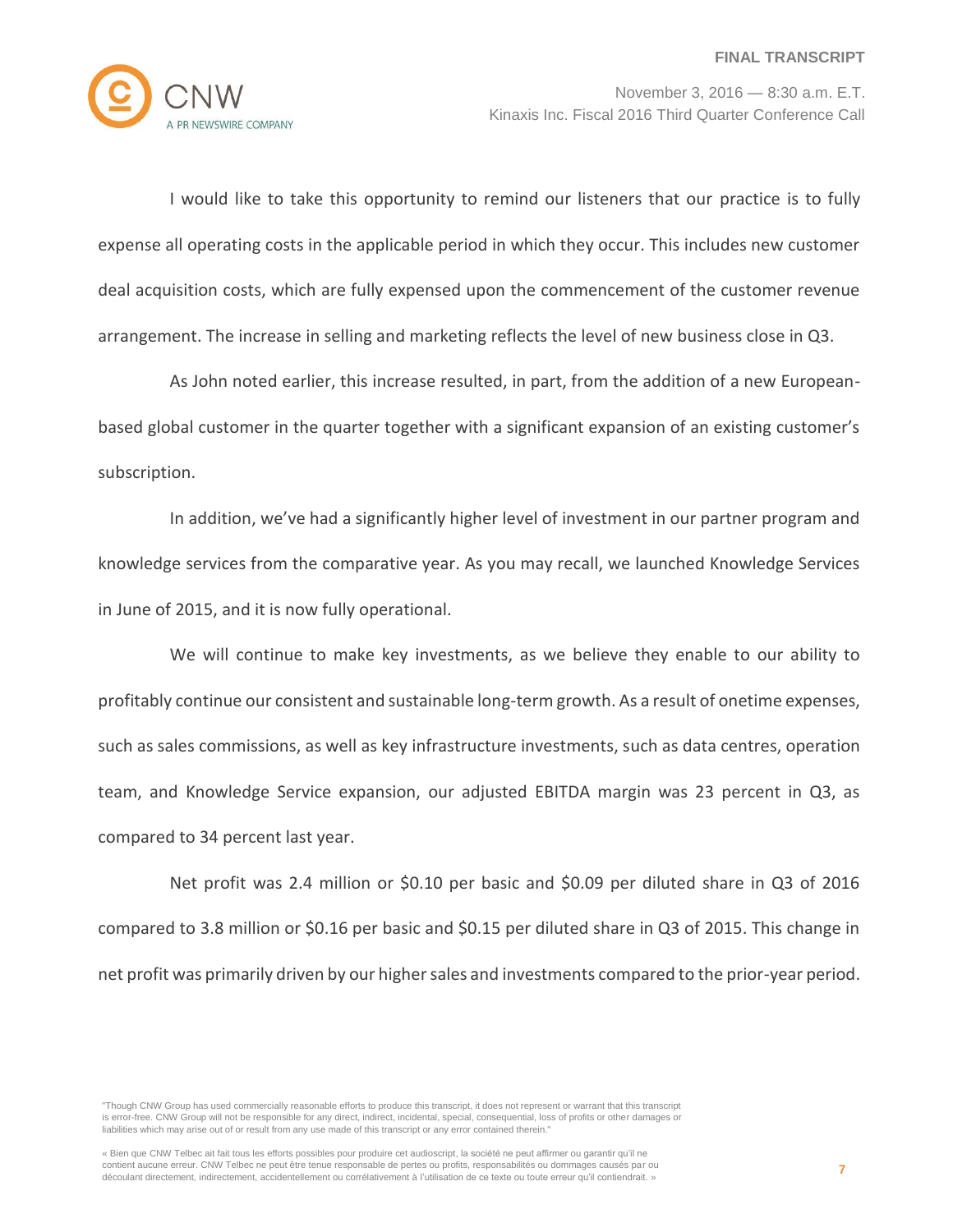

I would like to take this opportunity to remind our listeners that our practice is to fully expense all operating costs in the applicable period in which they occur. This includes new customer deal acquisition costs, which are fully expensed upon the commencement of the customer revenue arrangement. The increase in selling and marketing reflects the level of new business close in Q3.

As John noted earlier, this increase resulted, in part, from the addition of a new Europeanbased global customer in the quarter together with a significant expansion of an existing customer's subscription.

In addition, we've had a significantly higher level of investment in our partner program and knowledge services from the comparative year. As you may recall, we launched Knowledge Services in June of 2015, and it is now fully operational.

We will continue to make key investments, as we believe they enable to our ability to profitably continue our consistent and sustainable long-term growth. As a result of onetime expenses, such as sales commissions, as well as key infrastructure investments, such as data centres, operation team, and Knowledge Service expansion, our adjusted EBITDA margin was 23 percent in Q3, as compared to 34 percent last year.

Net profit was 2.4 million or \$0.10 per basic and \$0.09 per diluted share in Q3 of 2016 compared to 3.8 million or \$0.16 per basic and \$0.15 per diluted share in Q3 of 2015. This change in net profit was primarily driven by our higher sales and investments compared to the prior-year period.

<sup>&</sup>quot;Though CNW Group has used commercially reasonable efforts to produce this transcript, it does not represent or warrant that this transcript is error-free. CNW Group will not be responsible for any direct, indirect, incidental, special, consequential, loss of profits or other damages or liabilities which may arise out of or result from any use made of this transcript or any error contained therein."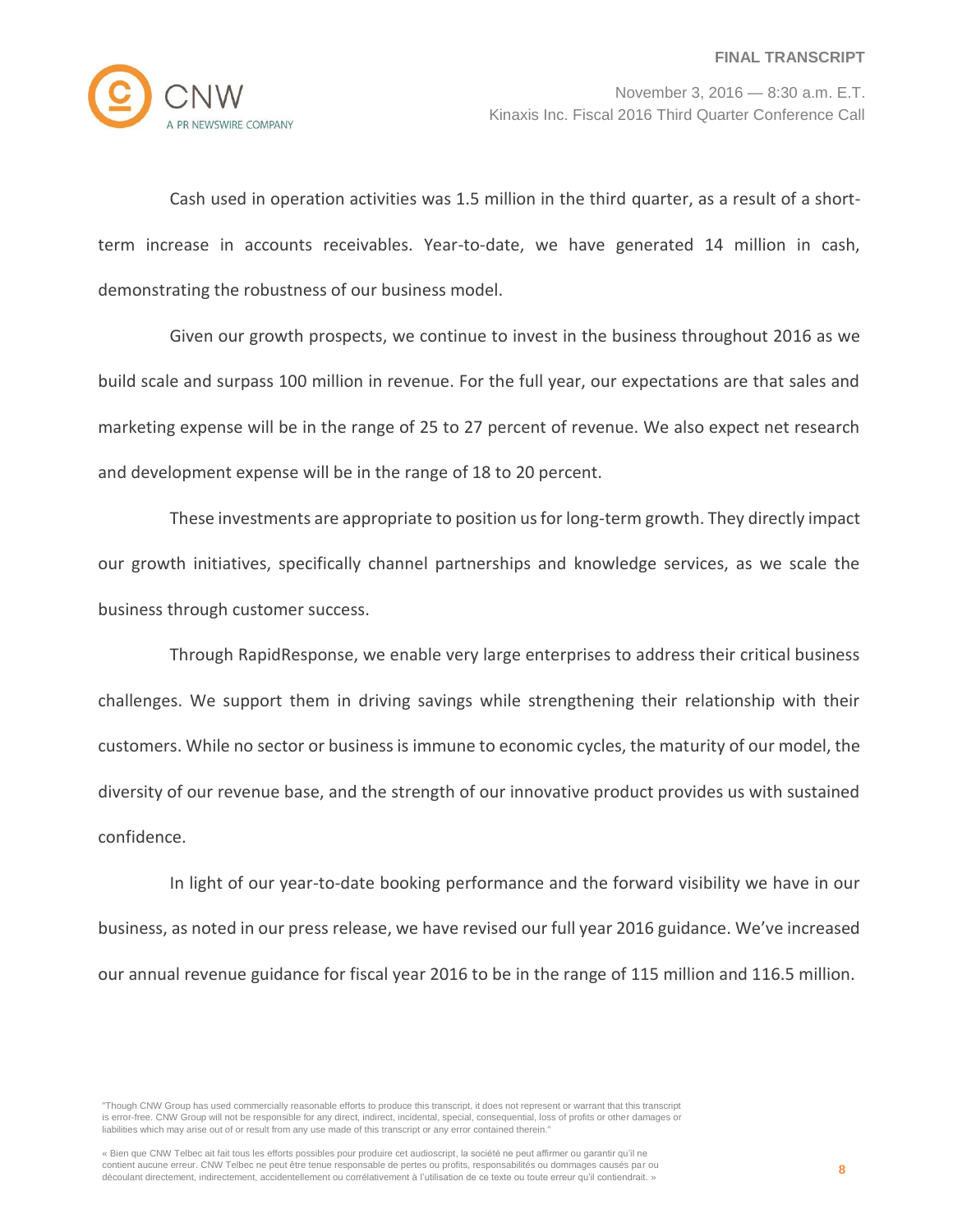

Cash used in operation activities was 1.5 million in the third quarter, as a result of a shortterm increase in accounts receivables. Year-to-date, we have generated 14 million in cash, demonstrating the robustness of our business model.

Given our growth prospects, we continue to invest in the business throughout 2016 as we build scale and surpass 100 million in revenue. For the full year, our expectations are that sales and marketing expense will be in the range of 25 to 27 percent of revenue. We also expect net research and development expense will be in the range of 18 to 20 percent.

These investments are appropriate to position us for long-term growth. They directly impact our growth initiatives, specifically channel partnerships and knowledge services, as we scale the business through customer success.

Through RapidResponse, we enable very large enterprises to address their critical business challenges. We support them in driving savings while strengthening their relationship with their customers. While no sector or business is immune to economic cycles, the maturity of our model, the diversity of our revenue base, and the strength of our innovative product provides us with sustained confidence.

In light of our year-to-date booking performance and the forward visibility we have in our business, as noted in our press release, we have revised our full year 2016 guidance. We've increased our annual revenue guidance for fiscal year 2016 to be in the range of 115 million and 116.5 million.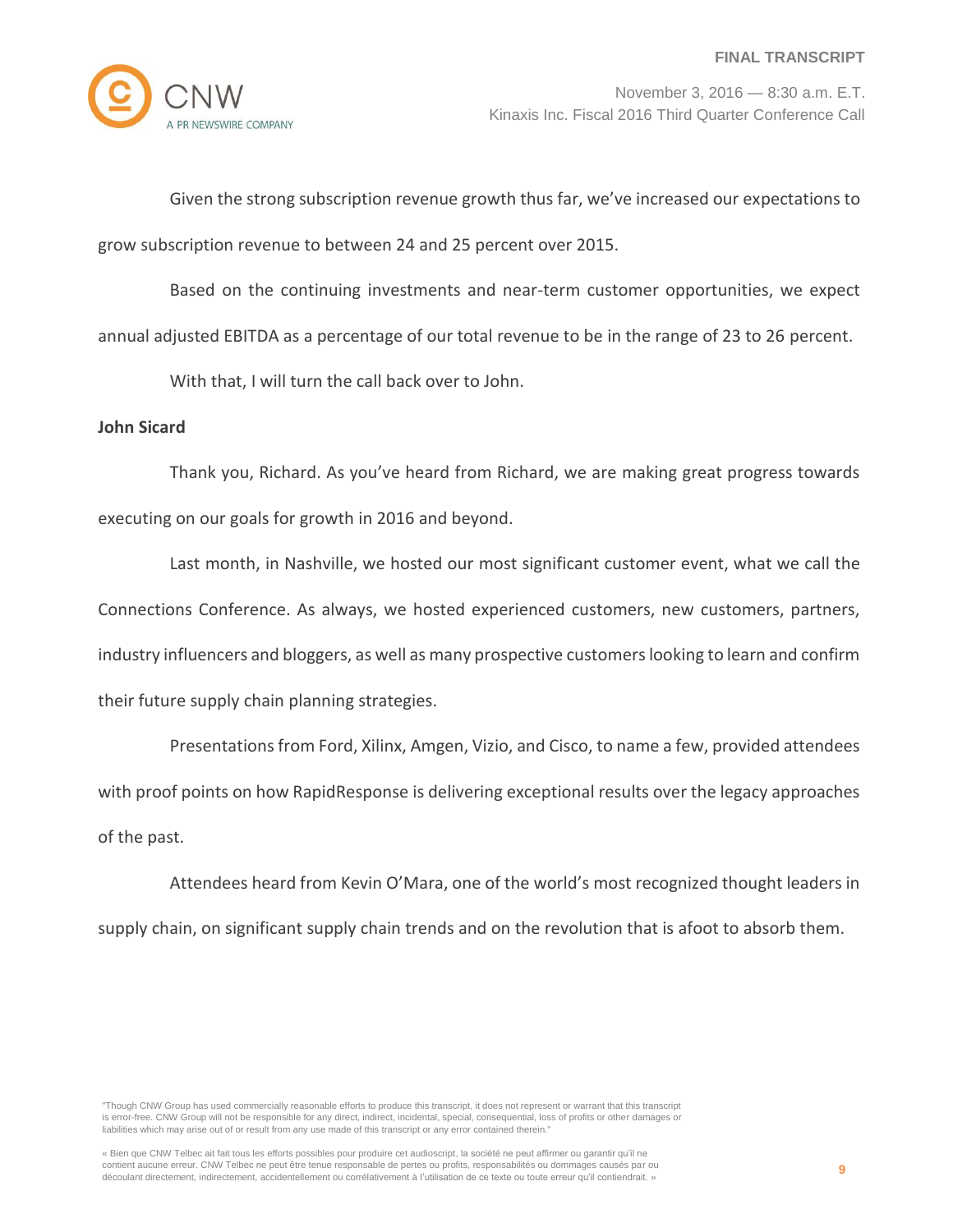

Given the strong subscription revenue growth thus far, we've increased our expectations to grow subscription revenue to between 24 and 25 percent over 2015.

Based on the continuing investments and near-term customer opportunities, we expect annual adjusted EBITDA as a percentage of our total revenue to be in the range of 23 to 26 percent.

With that, I will turn the call back over to John.

## **John Sicard**

Thank you, Richard. As you've heard from Richard, we are making great progress towards executing on our goals for growth in 2016 and beyond.

Last month, in Nashville, we hosted our most significant customer event, what we call the Connections Conference. As always, we hosted experienced customers, new customers, partners, industry influencers and bloggers, as well as many prospective customers looking to learn and confirm their future supply chain planning strategies.

Presentations from Ford, Xilinx, Amgen, Vizio, and Cisco, to name a few, provided attendees with proof points on how RapidResponse is delivering exceptional results over the legacy approaches of the past.

Attendees heard from Kevin O'Mara, one of the world's most recognized thought leaders in supply chain, on significant supply chain trends and on the revolution that is afoot to absorb them.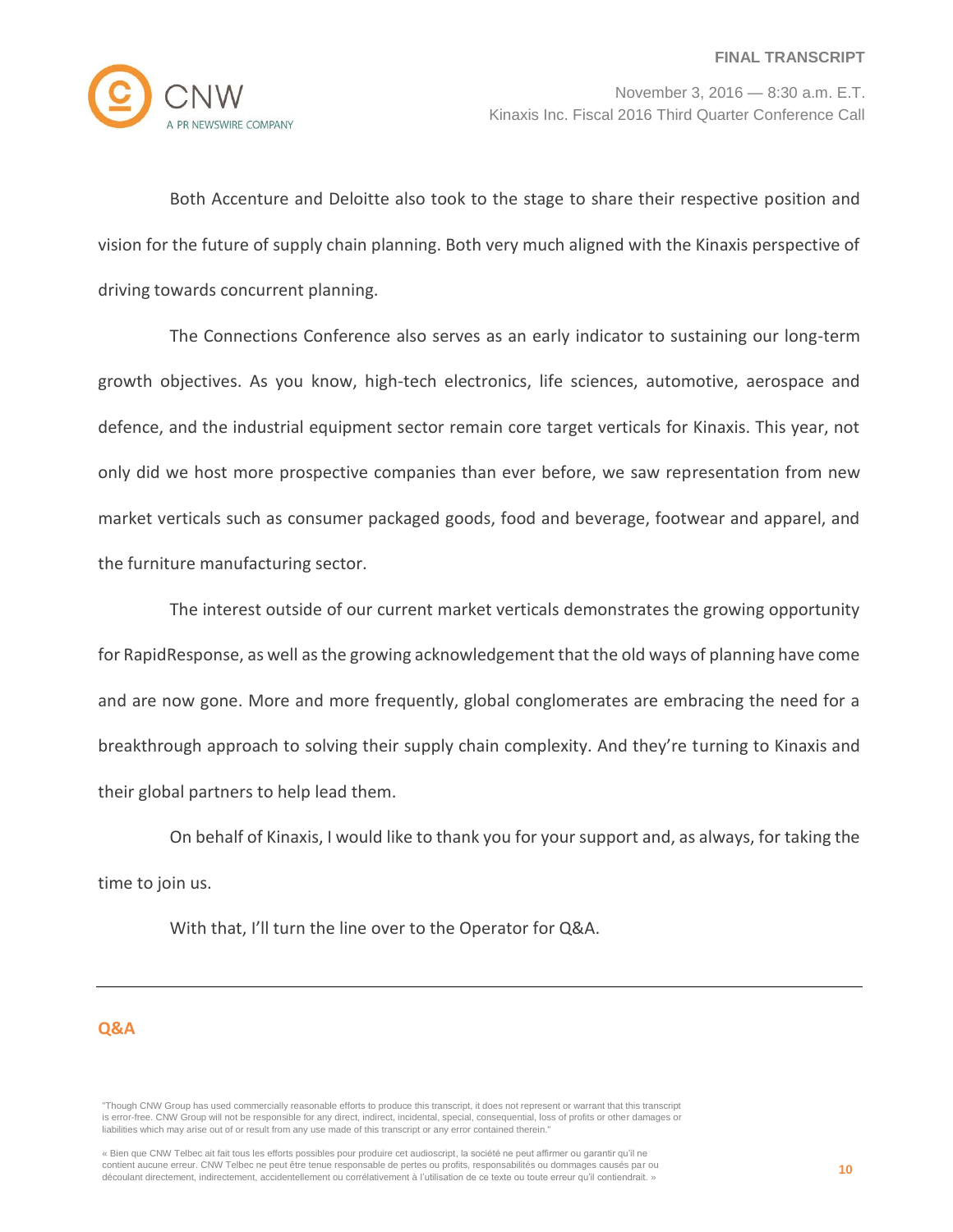

Both Accenture and Deloitte also took to the stage to share their respective position and vision for the future of supply chain planning. Both very much aligned with the Kinaxis perspective of driving towards concurrent planning.

The Connections Conference also serves as an early indicator to sustaining our long-term growth objectives. As you know, high-tech electronics, life sciences, automotive, aerospace and defence, and the industrial equipment sector remain core target verticals for Kinaxis. This year, not only did we host more prospective companies than ever before, we saw representation from new market verticals such as consumer packaged goods, food and beverage, footwear and apparel, and the furniture manufacturing sector.

The interest outside of our current market verticals demonstrates the growing opportunity for RapidResponse, as well as the growing acknowledgement that the old ways of planning have come and are now gone. More and more frequently, global conglomerates are embracing the need for a breakthrough approach to solving their supply chain complexity. And they're turning to Kinaxis and their global partners to help lead them.

On behalf of Kinaxis, I would like to thank you for your support and, as always, for taking the time to join us.

With that, I'll turn the line over to the Operator for Q&A.

## **Q&A**

<sup>&</sup>quot;Though CNW Group has used commercially reasonable efforts to produce this transcript, it does not represent or warrant that this transcript is error-free. CNW Group will not be responsible for any direct, indirect, incidental, special, consequential, loss of profits or other damages or liabilities which may arise out of or result from any use made of this transcript or any error contained therein."

<sup>«</sup> Bien que CNW Telbec ait fait tous les efforts possibles pour produire cet audioscript, la société ne peut affirmer ou garantir qu'il ne contient aucune erreur. CNW Telbec ne peut être tenue responsable de pertes ou profits, responsabilités ou dommages causés par ou découlant directement, indirectement, accidentellement ou corrélativement à l'utilisation de ce texte ou toute erreur qu'il contiendrait. »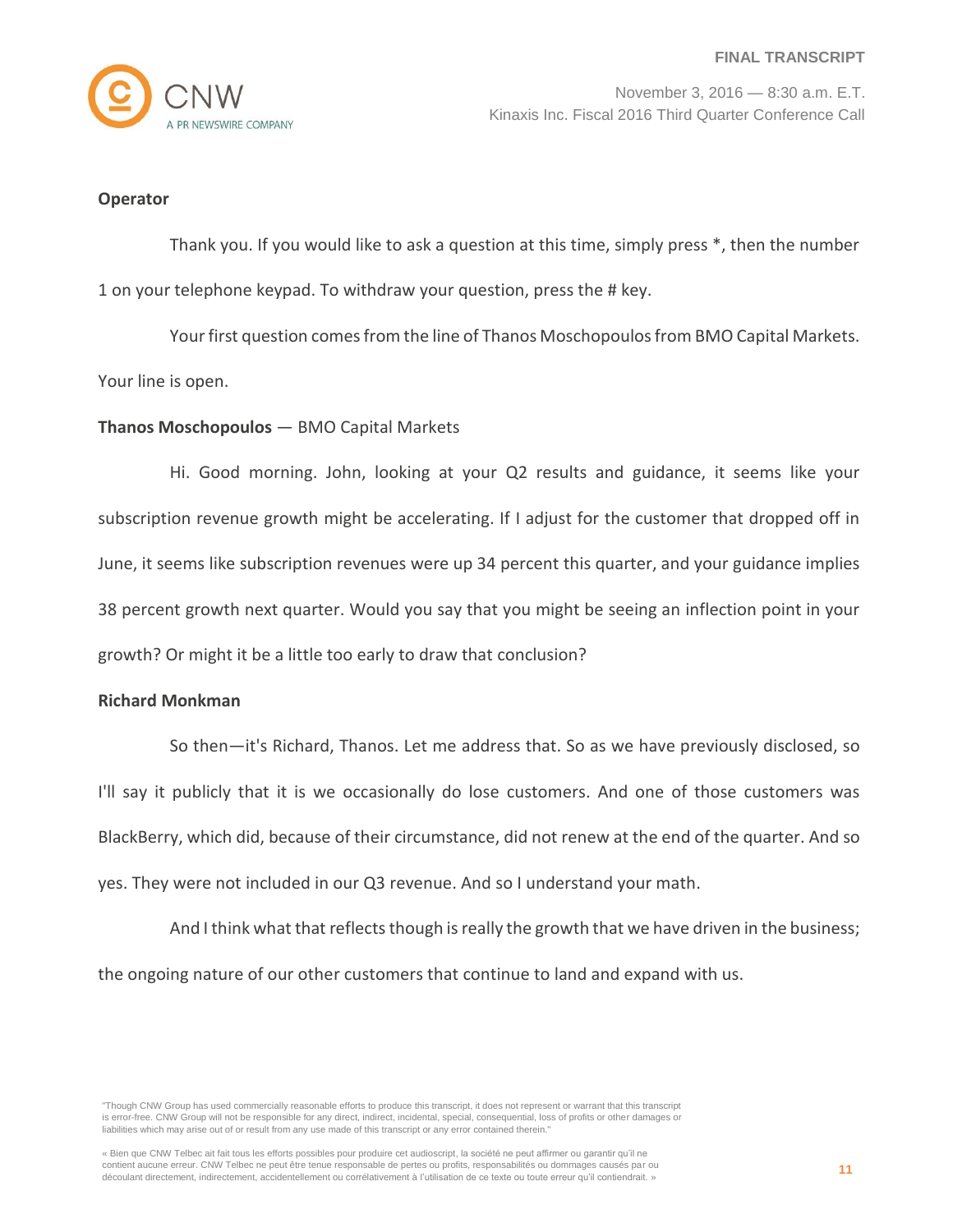

#### **Operator**

Thank you. If you would like to ask a question at this time, simply press \*, then the number 1 on your telephone keypad. To withdraw your question, press the # key.

Your first question comes from the line of Thanos Moschopoulos from BMO Capital Markets. Your line is open.

#### **Thanos Moschopoulos** — BMO Capital Markets

Hi. Good morning. John, looking at your Q2 results and guidance, it seems like your subscription revenue growth might be accelerating. If I adjust for the customer that dropped off in June, it seems like subscription revenues were up 34 percent this quarter, and your guidance implies 38 percent growth next quarter. Would you say that you might be seeing an inflection point in your growth? Or might it be a little too early to draw that conclusion?

#### **Richard Monkman**

So then—it's Richard, Thanos. Let me address that. So as we have previously disclosed, so I'll say it publicly that it is we occasionally do lose customers. And one of those customers was BlackBerry, which did, because of their circumstance, did not renew at the end of the quarter. And so yes. They were not included in our Q3 revenue. And so I understand your math.

And I think what that reflects though is really the growth that we have driven in the business; the ongoing nature of our other customers that continue to land and expand with us.

<sup>&</sup>quot;Though CNW Group has used commercially reasonable efforts to produce this transcript, it does not represent or warrant that this transcript is error-free. CNW Group will not be responsible for any direct, indirect, incidental, special, consequential, loss of profits or other damages or liabilities which may arise out of or result from any use made of this transcript or any error contained therein."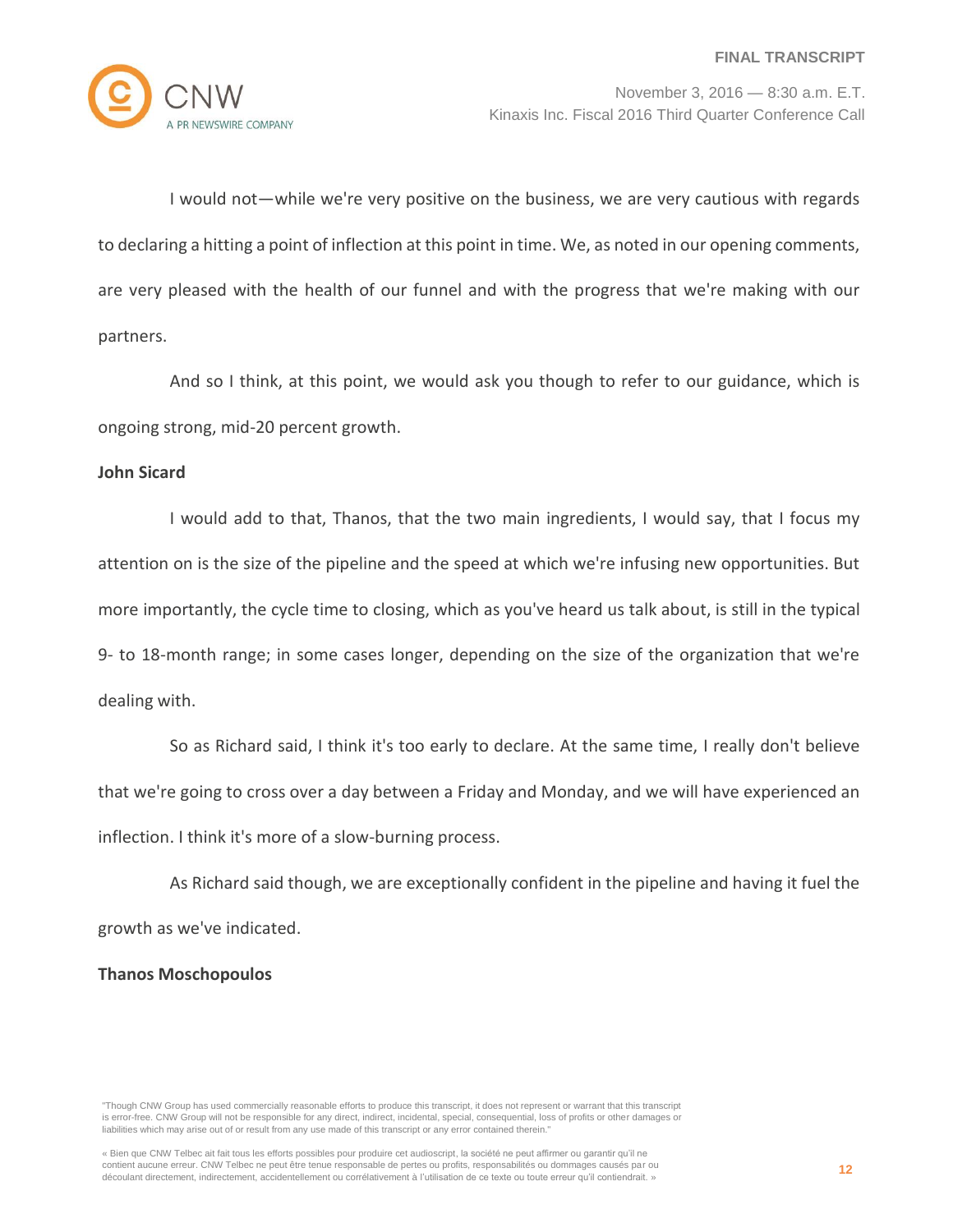

I would not—while we're very positive on the business, we are very cautious with regards to declaring a hitting a point of inflection at this point in time. We, as noted in our opening comments, are very pleased with the health of our funnel and with the progress that we're making with our partners.

And so I think, at this point, we would ask you though to refer to our guidance, which is ongoing strong, mid-20 percent growth.

## **John Sicard**

I would add to that, Thanos, that the two main ingredients, I would say, that I focus my attention on is the size of the pipeline and the speed at which we're infusing new opportunities. But more importantly, the cycle time to closing, which as you've heard us talk about, is still in the typical 9- to 18-month range; in some cases longer, depending on the size of the organization that we're dealing with.

So as Richard said, I think it's too early to declare. At the same time, I really don't believe that we're going to cross over a day between a Friday and Monday, and we will have experienced an inflection. I think it's more of a slow-burning process.

As Richard said though, we are exceptionally confident in the pipeline and having it fuel the growth as we've indicated.

### **Thanos Moschopoulos**

<sup>&</sup>quot;Though CNW Group has used commercially reasonable efforts to produce this transcript, it does not represent or warrant that this transcript is error-free. CNW Group will not be responsible for any direct, indirect, incidental, special, consequential, loss of profits or other damages or liabilities which may arise out of or result from any use made of this transcript or any error contained therein."

<sup>«</sup> Bien que CNW Telbec ait fait tous les efforts possibles pour produire cet audioscript, la société ne peut affirmer ou garantir qu'il ne contient aucune erreur. CNW Telbec ne peut être tenue responsable de pertes ou profits, responsabilités ou dommages causés par ou découlant directement, indirectement, accidentellement ou corrélativement à l'utilisation de ce texte ou toute erreur qu'il contiendrait. »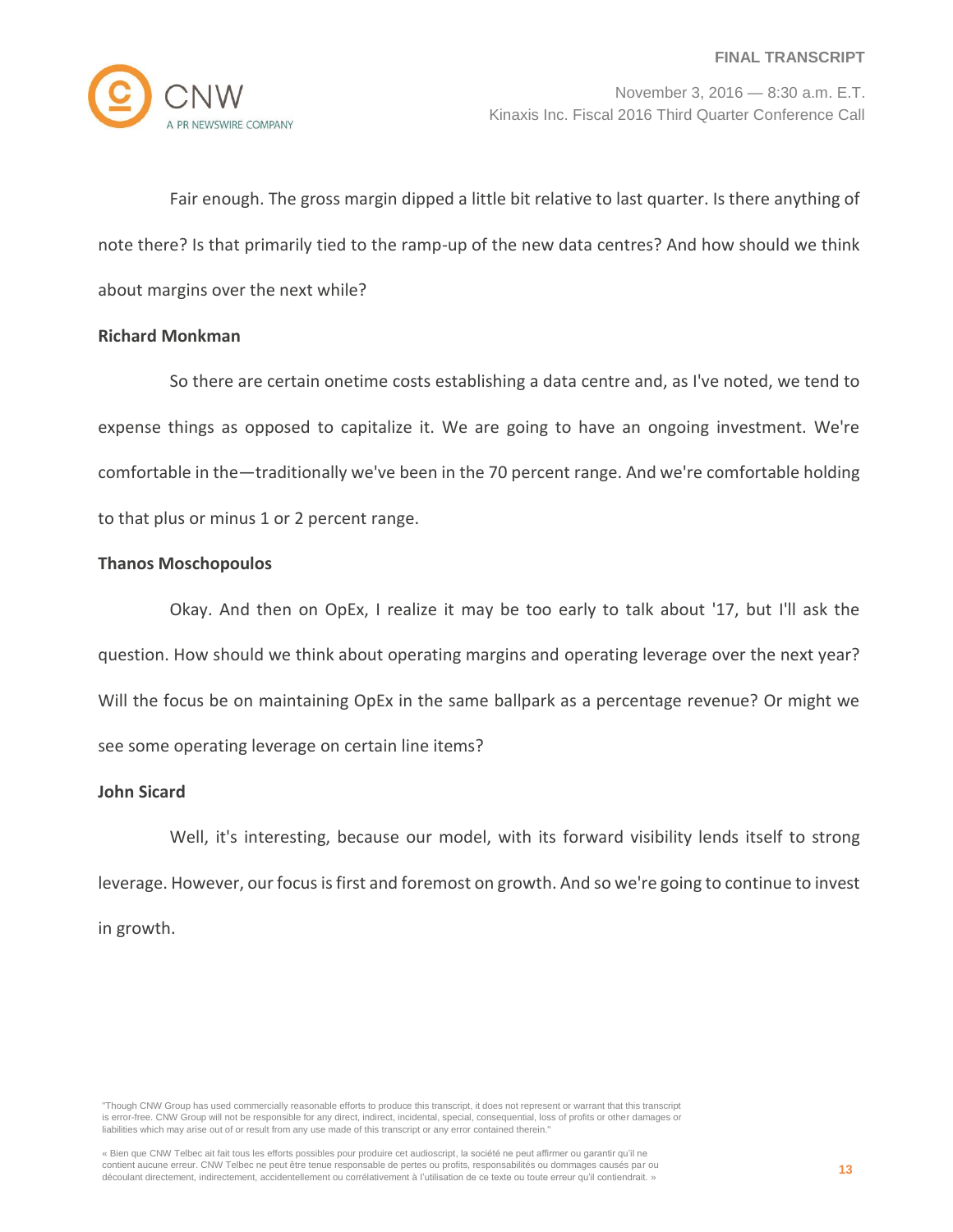

Fair enough. The gross margin dipped a little bit relative to last quarter. Is there anything of note there? Is that primarily tied to the ramp-up of the new data centres? And how should we think about margins over the next while?

## **Richard Monkman**

So there are certain onetime costs establishing a data centre and, as I've noted, we tend to expense things as opposed to capitalize it. We are going to have an ongoing investment. We're comfortable in the—traditionally we've been in the 70 percent range. And we're comfortable holding to that plus or minus 1 or 2 percent range.

## **Thanos Moschopoulos**

Okay. And then on OpEx, I realize it may be too early to talk about '17, but I'll ask the question. How should we think about operating margins and operating leverage over the next year? Will the focus be on maintaining OpEx in the same ballpark as a percentage revenue? Or might we see some operating leverage on certain line items?

# **John Sicard**

Well, it's interesting, because our model, with its forward visibility lends itself to strong leverage. However, our focus is first and foremost on growth. And so we're going to continue to invest in growth.

<sup>&</sup>quot;Though CNW Group has used commercially reasonable efforts to produce this transcript, it does not represent or warrant that this transcript is error-free. CNW Group will not be responsible for any direct, indirect, incidental, special, consequential, loss of profits or other damages or liabilities which may arise out of or result from any use made of this transcript or any error contained therein."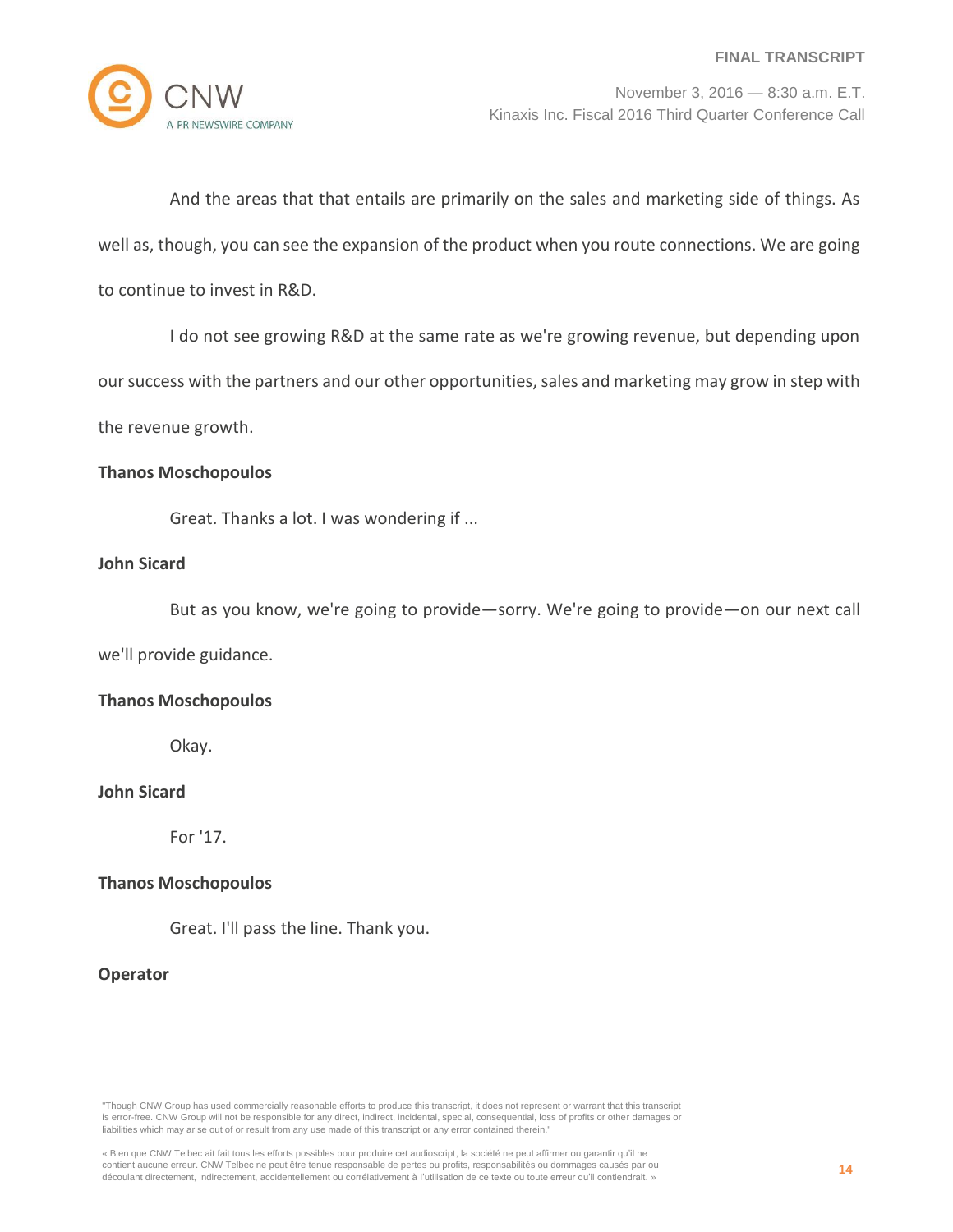

And the areas that that entails are primarily on the sales and marketing side of things. As well as, though, you can see the expansion of the product when you route connections. We are going to continue to invest in R&D.

I do not see growing R&D at the same rate as we're growing revenue, but depending upon

our success with the partners and our other opportunities, sales and marketing may grow in step with

the revenue growth.

#### **Thanos Moschopoulos**

Great. Thanks a lot. I was wondering if ...

#### **John Sicard**

But as you know, we're going to provide—sorry. We're going to provide—on our next call

we'll provide guidance.

#### **Thanos Moschopoulos**

Okay.

# **John Sicard**

For '17.

#### **Thanos Moschopoulos**

Great. I'll pass the line. Thank you.

### **Operator**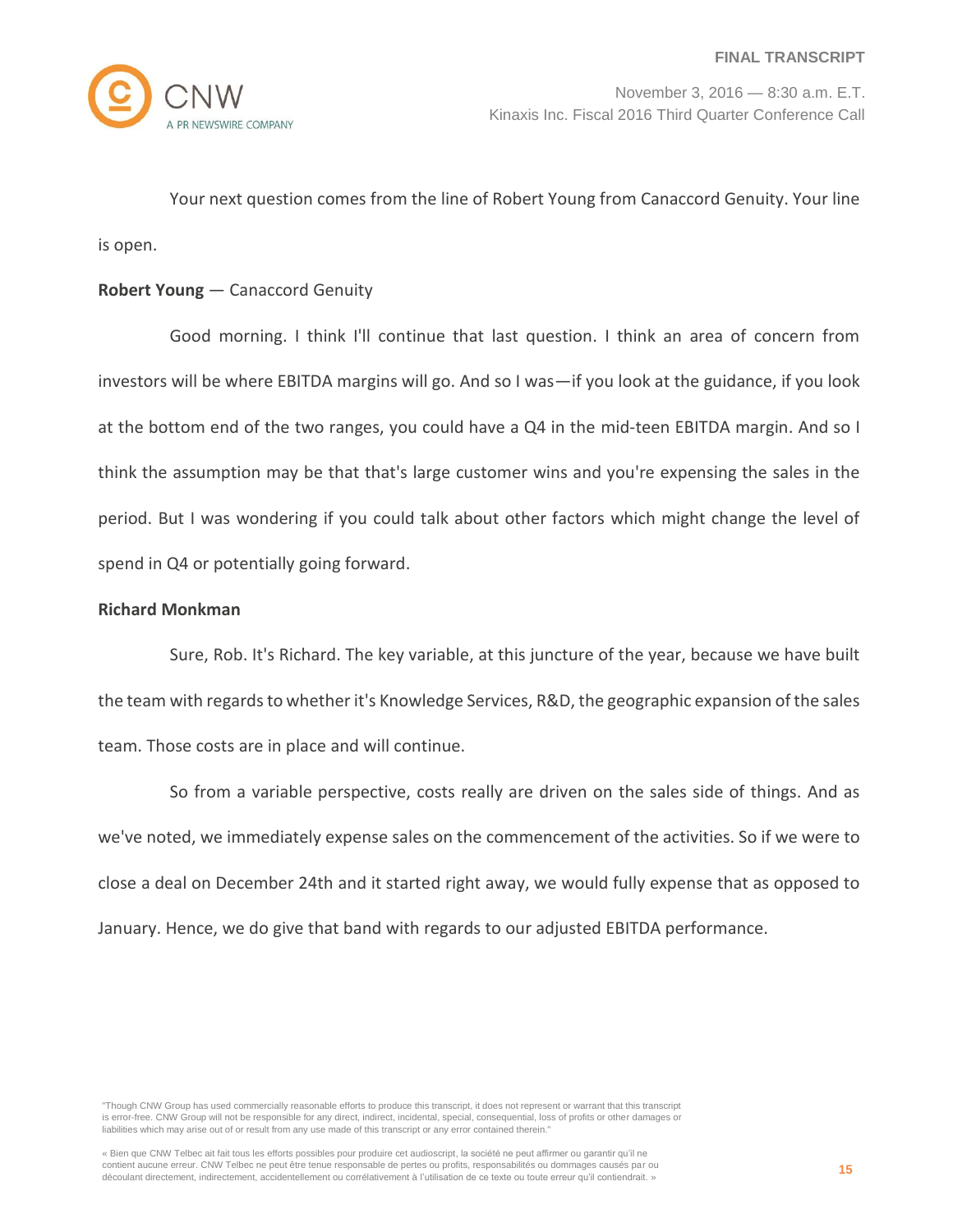Your next question comes from the line of Robert Young from Canaccord Genuity. Your line is open.

## **Robert Young** — Canaccord Genuity

Good morning. I think I'll continue that last question. I think an area of concern from investors will be where EBITDA margins will go. And so I was—if you look at the guidance, if you look at the bottom end of the two ranges, you could have a Q4 in the mid-teen EBITDA margin. And so I think the assumption may be that that's large customer wins and you're expensing the sales in the period. But I was wondering if you could talk about other factors which might change the level of spend in Q4 or potentially going forward.

#### **Richard Monkman**

Sure, Rob. It's Richard. The key variable, at this juncture of the year, because we have built the team with regards to whether it's Knowledge Services, R&D, the geographic expansion of the sales team. Those costs are in place and will continue.

So from a variable perspective, costs really are driven on the sales side of things. And as we've noted, we immediately expense sales on the commencement of the activities. So if we were to close a deal on December 24th and it started right away, we would fully expense that as opposed to January. Hence, we do give that band with regards to our adjusted EBITDA performance.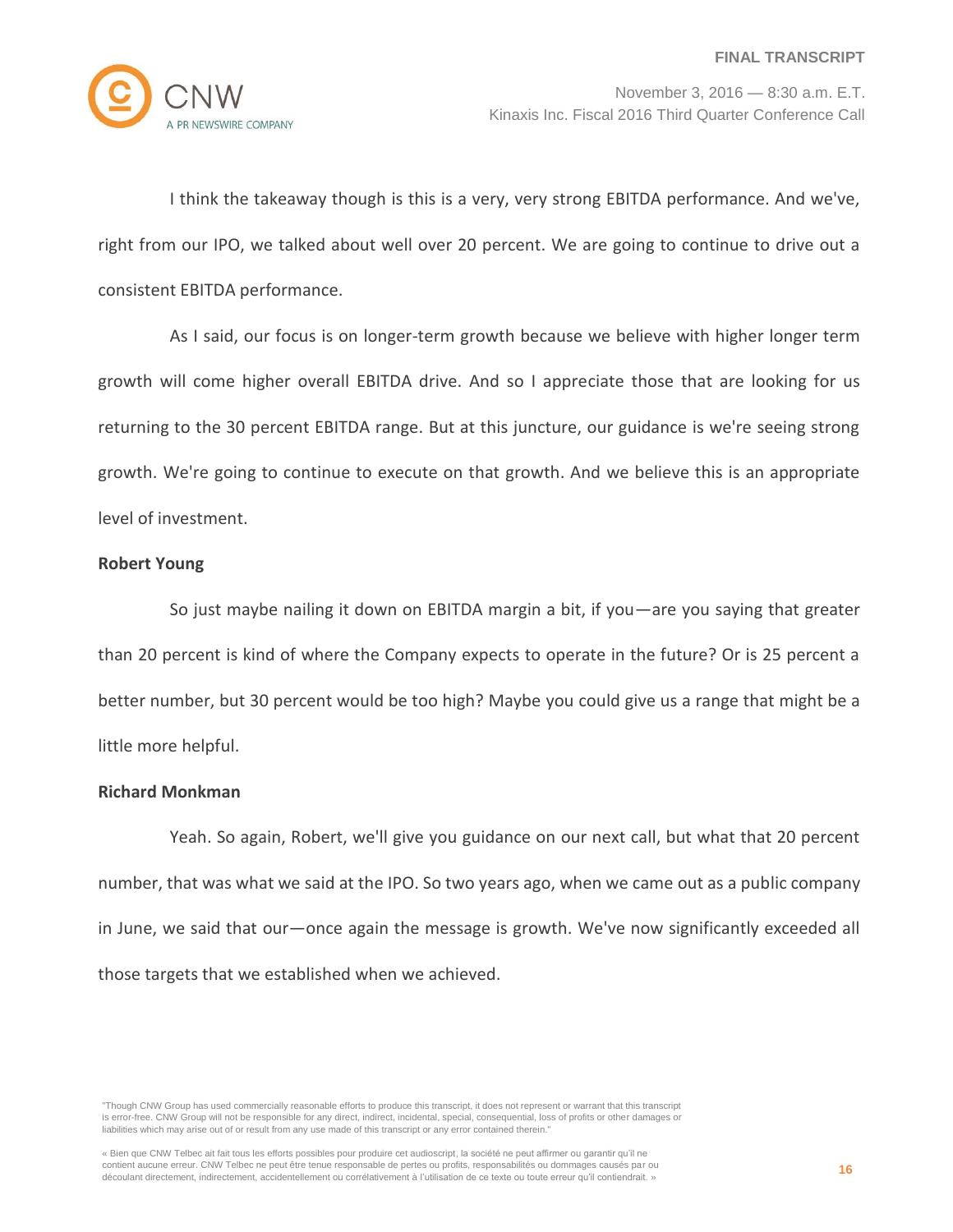

I think the takeaway though is this is a very, very strong EBITDA performance. And we've, right from our IPO, we talked about well over 20 percent. We are going to continue to drive out a consistent EBITDA performance.

As I said, our focus is on longer-term growth because we believe with higher longer term growth will come higher overall EBITDA drive. And so I appreciate those that are looking for us returning to the 30 percent EBITDA range. But at this juncture, our guidance is we're seeing strong growth. We're going to continue to execute on that growth. And we believe this is an appropriate level of investment.

## **Robert Young**

So just maybe nailing it down on EBITDA margin a bit, if you—are you saying that greater than 20 percent is kind of where the Company expects to operate in the future? Or is 25 percent a better number, but 30 percent would be too high? Maybe you could give us a range that might be a little more helpful.

#### **Richard Monkman**

Yeah. So again, Robert, we'll give you guidance on our next call, but what that 20 percent number, that was what we said at the IPO. So two years ago, when we came out as a public company in June, we said that our—once again the message is growth. We've now significantly exceeded all those targets that we established when we achieved.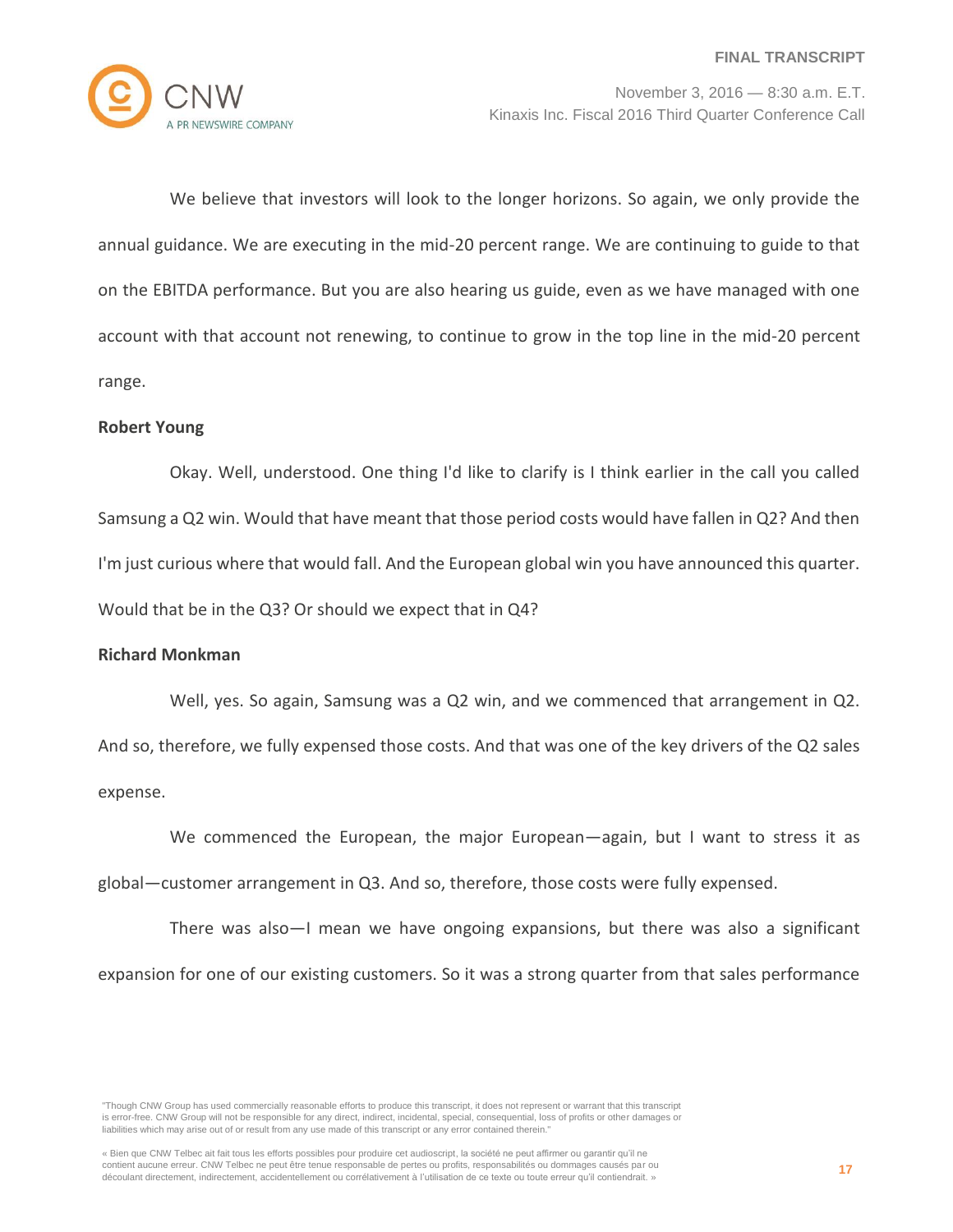

We believe that investors will look to the longer horizons. So again, we only provide the annual guidance. We are executing in the mid-20 percent range. We are continuing to guide to that on the EBITDA performance. But you are also hearing us guide, even as we have managed with one account with that account not renewing, to continue to grow in the top line in the mid-20 percent range.

#### **Robert Young**

Okay. Well, understood. One thing I'd like to clarify is I think earlier in the call you called Samsung a Q2 win. Would that have meant that those period costs would have fallen in Q2? And then I'm just curious where that would fall. And the European global win you have announced this quarter. Would that be in the Q3? Or should we expect that in Q4?

#### **Richard Monkman**

Well, yes. So again, Samsung was a Q2 win, and we commenced that arrangement in Q2. And so, therefore, we fully expensed those costs. And that was one of the key drivers of the Q2 sales expense.

We commenced the European, the major European—again, but I want to stress it as global—customer arrangement in Q3. And so, therefore, those costs were fully expensed.

There was also—I mean we have ongoing expansions, but there was also a significant expansion for one of our existing customers. So it was a strong quarter from that sales performance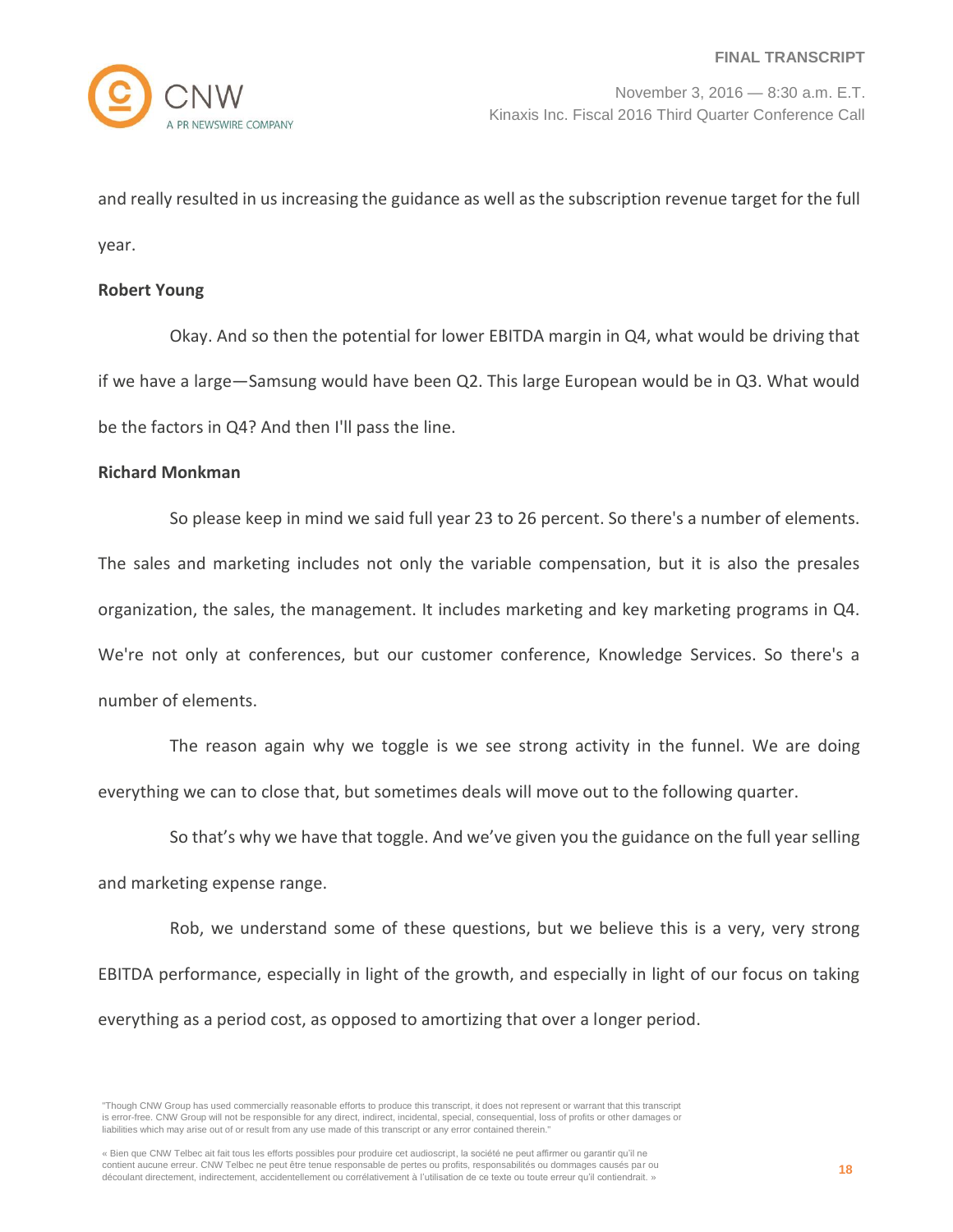and really resulted in us increasing the guidance as well as the subscription revenue target for the full year.

#### **Robert Young**

Okay. And so then the potential for lower EBITDA margin in Q4, what would be driving that if we have a large—Samsung would have been Q2. This large European would be in Q3. What would be the factors in Q4? And then I'll pass the line.

#### **Richard Monkman**

So please keep in mind we said full year 23 to 26 percent. So there's a number of elements. The sales and marketing includes not only the variable compensation, but it is also the presales organization, the sales, the management. It includes marketing and key marketing programs in Q4. We're not only at conferences, but our customer conference, Knowledge Services. So there's a number of elements.

The reason again why we toggle is we see strong activity in the funnel. We are doing everything we can to close that, but sometimes deals will move out to the following quarter.

So that's why we have that toggle. And we've given you the guidance on the full year selling and marketing expense range.

Rob, we understand some of these questions, but we believe this is a very, very strong EBITDA performance, especially in light of the growth, and especially in light of our focus on taking everything as a period cost, as opposed to amortizing that over a longer period.

<sup>&</sup>quot;Though CNW Group has used commercially reasonable efforts to produce this transcript, it does not represent or warrant that this transcript is error-free. CNW Group will not be responsible for any direct, indirect, incidental, special, consequential, loss of profits or other damages or liabilities which may arise out of or result from any use made of this transcript or any error contained therein."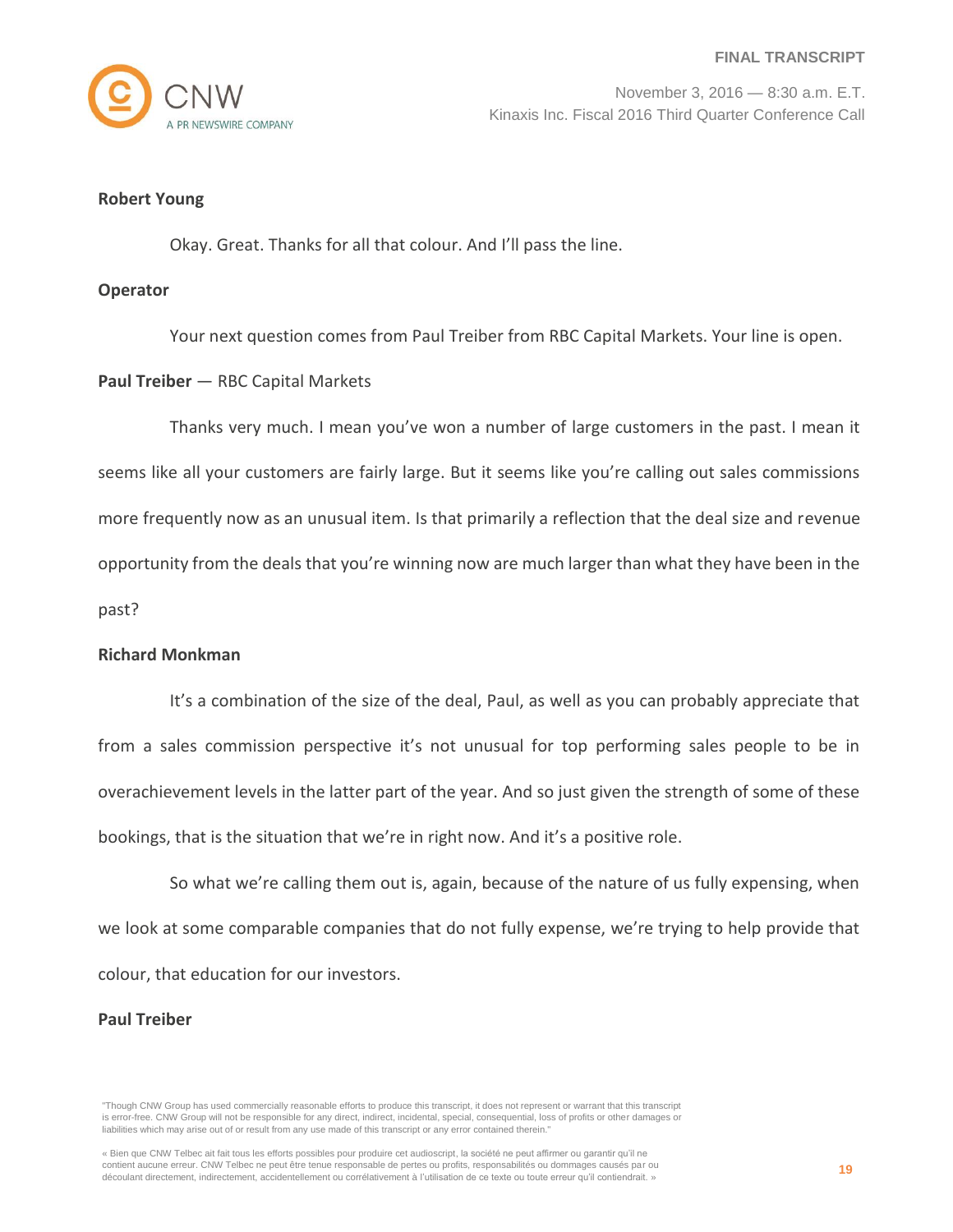

#### **Robert Young**

Okay. Great. Thanks for all that colour. And I'll pass the line.

#### **Operator**

Your next question comes from Paul Treiber from RBC Capital Markets. Your line is open.

## **Paul Treiber** — RBC Capital Markets

Thanks very much. I mean you've won a number of large customers in the past. I mean it seems like all your customers are fairly large. But it seems like you're calling out sales commissions more frequently now as an unusual item. Is that primarily a reflection that the deal size and revenue opportunity from the deals that you're winning now are much larger than what they have been in the past?

#### **Richard Monkman**

It's a combination of the size of the deal, Paul, as well as you can probably appreciate that from a sales commission perspective it's not unusual for top performing sales people to be in overachievement levels in the latter part of the year. And so just given the strength of some of these bookings, that is the situation that we're in right now. And it's a positive role.

So what we're calling them out is, again, because of the nature of us fully expensing, when we look at some comparable companies that do not fully expense, we're trying to help provide that colour, that education for our investors.

#### **Paul Treiber**

<sup>&</sup>quot;Though CNW Group has used commercially reasonable efforts to produce this transcript, it does not represent or warrant that this transcript is error-free. CNW Group will not be responsible for any direct, indirect, incidental, special, consequential, loss of profits or other damages or liabilities which may arise out of or result from any use made of this transcript or any error contained therein."

<sup>«</sup> Bien que CNW Telbec ait fait tous les efforts possibles pour produire cet audioscript, la société ne peut affirmer ou garantir qu'il ne contient aucune erreur. CNW Telbec ne peut être tenue responsable de pertes ou profits, responsabilités ou dommages causés par ou découlant directement, indirectement, accidentellement ou corrélativement à l'utilisation de ce texte ou toute erreur qu'il contiendrait. »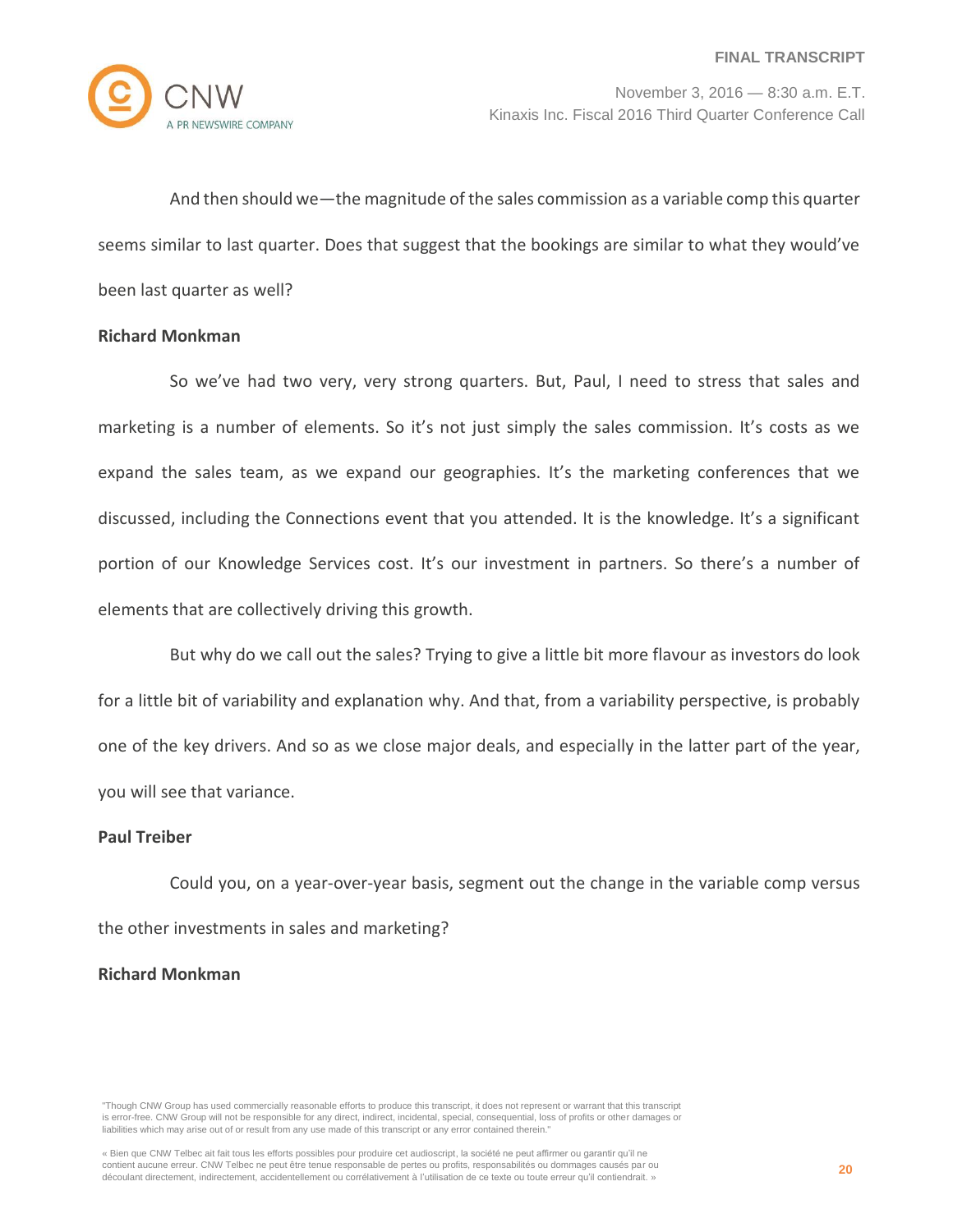

And then should we—the magnitude of the sales commission as a variable comp this quarter seems similar to last quarter. Does that suggest that the bookings are similar to what they would've been last quarter as well?

# **Richard Monkman**

So we've had two very, very strong quarters. But, Paul, I need to stress that sales and marketing is a number of elements. So it's not just simply the sales commission. It's costs as we expand the sales team, as we expand our geographies. It's the marketing conferences that we discussed, including the Connections event that you attended. It is the knowledge. It's a significant portion of our Knowledge Services cost. It's our investment in partners. So there's a number of elements that are collectively driving this growth.

But why do we call out the sales? Trying to give a little bit more flavour as investors do look for a little bit of variability and explanation why. And that, from a variability perspective, is probably one of the key drivers. And so as we close major deals, and especially in the latter part of the year, you will see that variance.

#### **Paul Treiber**

Could you, on a year-over-year basis, segment out the change in the variable comp versus the other investments in sales and marketing?

### **Richard Monkman**

<sup>&</sup>quot;Though CNW Group has used commercially reasonable efforts to produce this transcript, it does not represent or warrant that this transcript is error-free. CNW Group will not be responsible for any direct, indirect, incidental, special, consequential, loss of profits or other damages or liabilities which may arise out of or result from any use made of this transcript or any error contained therein."

<sup>«</sup> Bien que CNW Telbec ait fait tous les efforts possibles pour produire cet audioscript, la société ne peut affirmer ou garantir qu'il ne contient aucune erreur. CNW Telbec ne peut être tenue responsable de pertes ou profits, responsabilités ou dommages causés par ou découlant directement, indirectement, accidentellement ou corrélativement à l'utilisation de ce texte ou toute erreur qu'il contiendrait. »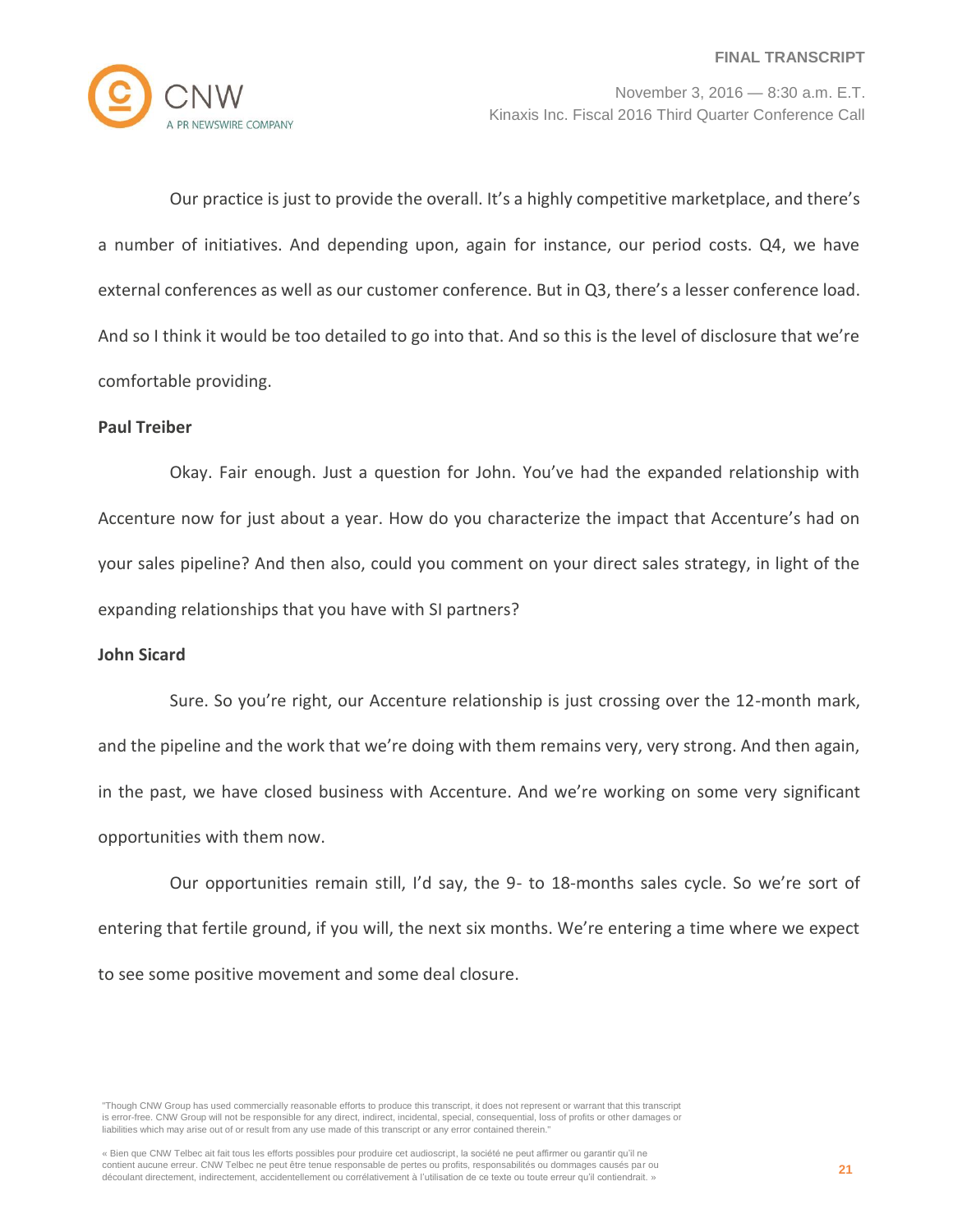

Our practice is just to provide the overall. It's a highly competitive marketplace, and there's a number of initiatives. And depending upon, again for instance, our period costs. Q4, we have external conferences as well as our customer conference. But in Q3, there's a lesser conference load. And so I think it would be too detailed to go into that. And so this is the level of disclosure that we're comfortable providing.

## **Paul Treiber**

Okay. Fair enough. Just a question for John. You've had the expanded relationship with Accenture now for just about a year. How do you characterize the impact that Accenture's had on your sales pipeline? And then also, could you comment on your direct sales strategy, in light of the expanding relationships that you have with SI partners?

#### **John Sicard**

Sure. So you're right, our Accenture relationship is just crossing over the 12-month mark, and the pipeline and the work that we're doing with them remains very, very strong. And then again, in the past, we have closed business with Accenture. And we're working on some very significant opportunities with them now.

Our opportunities remain still, I'd say, the 9- to 18-months sales cycle. So we're sort of entering that fertile ground, if you will, the next six months. We're entering a time where we expect to see some positive movement and some deal closure.

<sup>&</sup>quot;Though CNW Group has used commercially reasonable efforts to produce this transcript, it does not represent or warrant that this transcript is error-free. CNW Group will not be responsible for any direct, indirect, incidental, special, consequential, loss of profits or other damages or liabilities which may arise out of or result from any use made of this transcript or any error contained therein."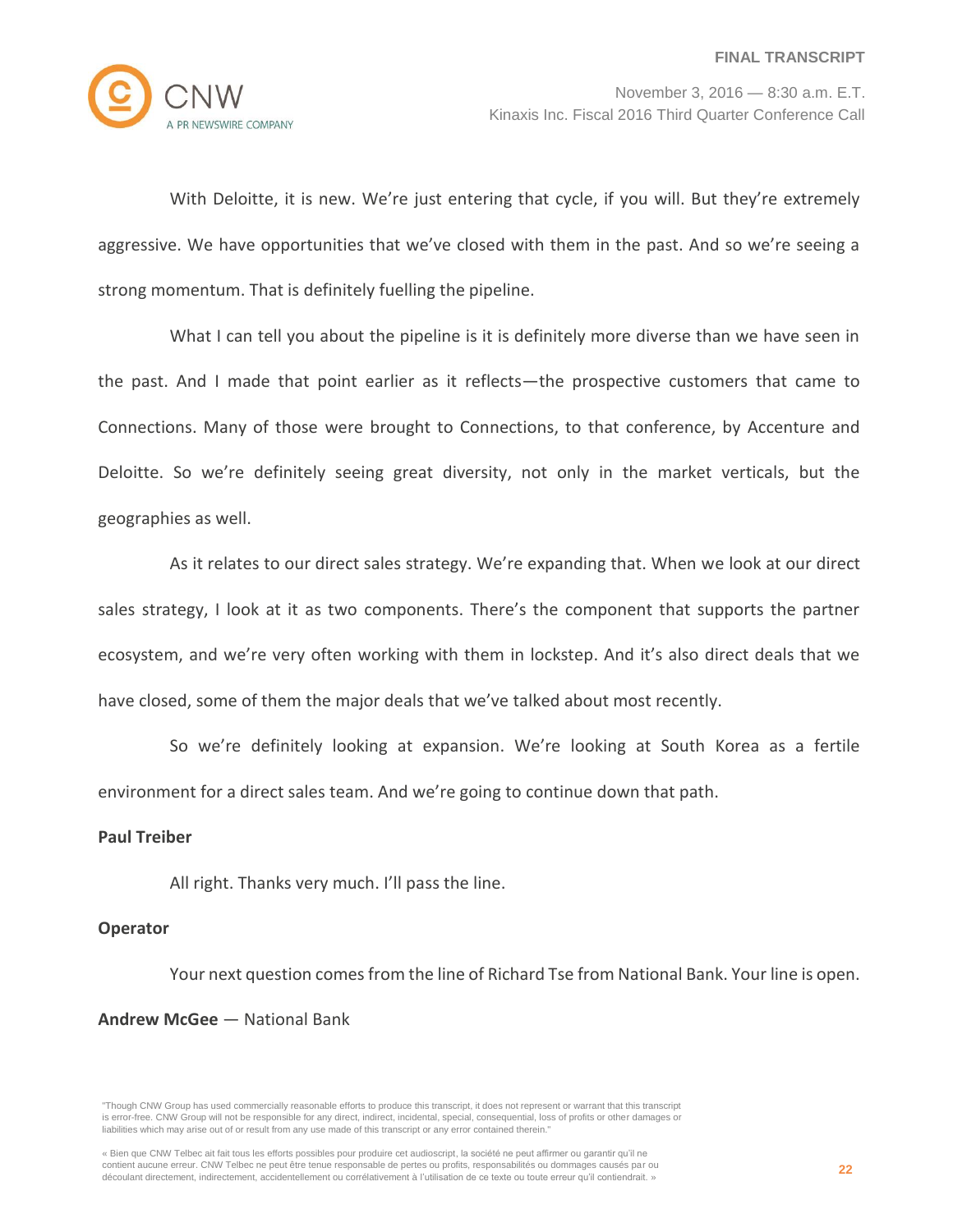

With Deloitte, it is new. We're just entering that cycle, if you will. But they're extremely aggressive. We have opportunities that we've closed with them in the past. And so we're seeing a strong momentum. That is definitely fuelling the pipeline.

What I can tell you about the pipeline is it is definitely more diverse than we have seen in the past. And I made that point earlier as it reflects—the prospective customers that came to Connections. Many of those were brought to Connections, to that conference, by Accenture and Deloitte. So we're definitely seeing great diversity, not only in the market verticals, but the geographies as well.

As it relates to our direct sales strategy. We're expanding that. When we look at our direct sales strategy, I look at it as two components. There's the component that supports the partner ecosystem, and we're very often working with them in lockstep. And it's also direct deals that we have closed, some of them the major deals that we've talked about most recently.

So we're definitely looking at expansion. We're looking at South Korea as a fertile environment for a direct sales team. And we're going to continue down that path.

#### **Paul Treiber**

All right. Thanks very much. I'll pass the line.

#### **Operator**

Your next question comes from the line of Richard Tse from National Bank. Your line is open. **Andrew McGee** — National Bank

<sup>&</sup>quot;Though CNW Group has used commercially reasonable efforts to produce this transcript, it does not represent or warrant that this transcript is error-free. CNW Group will not be responsible for any direct, indirect, incidental, special, consequential, loss of profits or other damages or liabilities which may arise out of or result from any use made of this transcript or any error contained therein."

<sup>«</sup> Bien que CNW Telbec ait fait tous les efforts possibles pour produire cet audioscript, la société ne peut affirmer ou garantir qu'il ne contient aucune erreur. CNW Telbec ne peut être tenue responsable de pertes ou profits, responsabilités ou dommages causés par ou découlant directement, indirectement, accidentellement ou corrélativement à l'utilisation de ce texte ou toute erreur qu'il contiendrait. »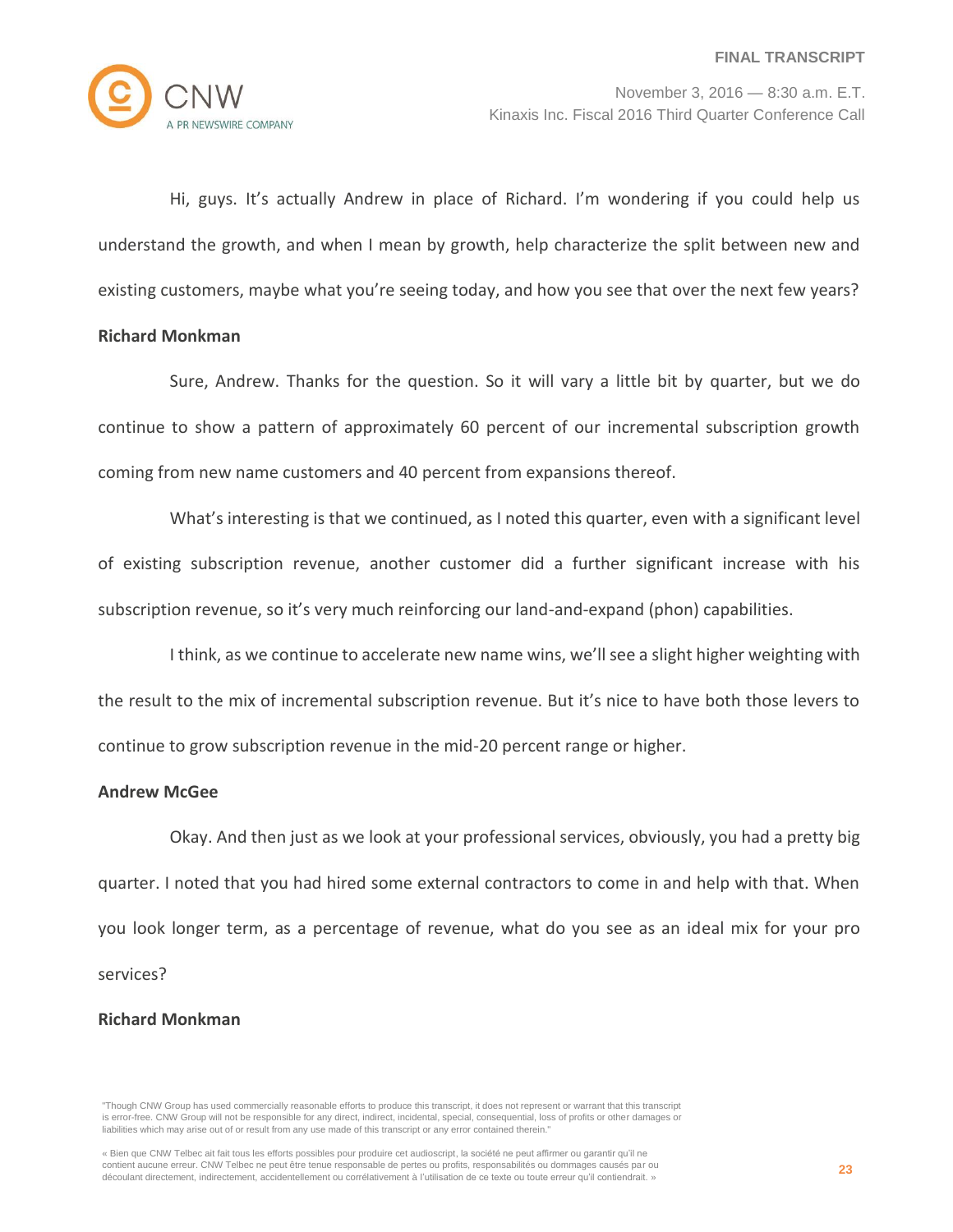

Hi, guys. It's actually Andrew in place of Richard. I'm wondering if you could help us understand the growth, and when I mean by growth, help characterize the split between new and existing customers, maybe what you're seeing today, and how you see that over the next few years?

# **Richard Monkman**

Sure, Andrew. Thanks for the question. So it will vary a little bit by quarter, but we do continue to show a pattern of approximately 60 percent of our incremental subscription growth coming from new name customers and 40 percent from expansions thereof.

What's interesting is that we continued, as I noted this quarter, even with a significant level of existing subscription revenue, another customer did a further significant increase with his subscription revenue, so it's very much reinforcing our land-and-expand (phon) capabilities.

I think, as we continue to accelerate new name wins, we'll see a slight higher weighting with the result to the mix of incremental subscription revenue. But it's nice to have both those levers to continue to grow subscription revenue in the mid-20 percent range or higher.

#### **Andrew McGee**

Okay. And then just as we look at your professional services, obviously, you had a pretty big quarter. I noted that you had hired some external contractors to come in and help with that. When you look longer term, as a percentage of revenue, what do you see as an ideal mix for your pro services?

#### **Richard Monkman**

<sup>&</sup>quot;Though CNW Group has used commercially reasonable efforts to produce this transcript, it does not represent or warrant that this transcript is error-free. CNW Group will not be responsible for any direct, indirect, incidental, special, consequential, loss of profits or other damages or liabilities which may arise out of or result from any use made of this transcript or any error contained therein."

<sup>«</sup> Bien que CNW Telbec ait fait tous les efforts possibles pour produire cet audioscript, la société ne peut affirmer ou garantir qu'il ne contient aucune erreur. CNW Telbec ne peut être tenue responsable de pertes ou profits, responsabilités ou dommages causés par ou découlant directement, indirectement, accidentellement ou corrélativement à l'utilisation de ce texte ou toute erreur qu'il contiendrait. »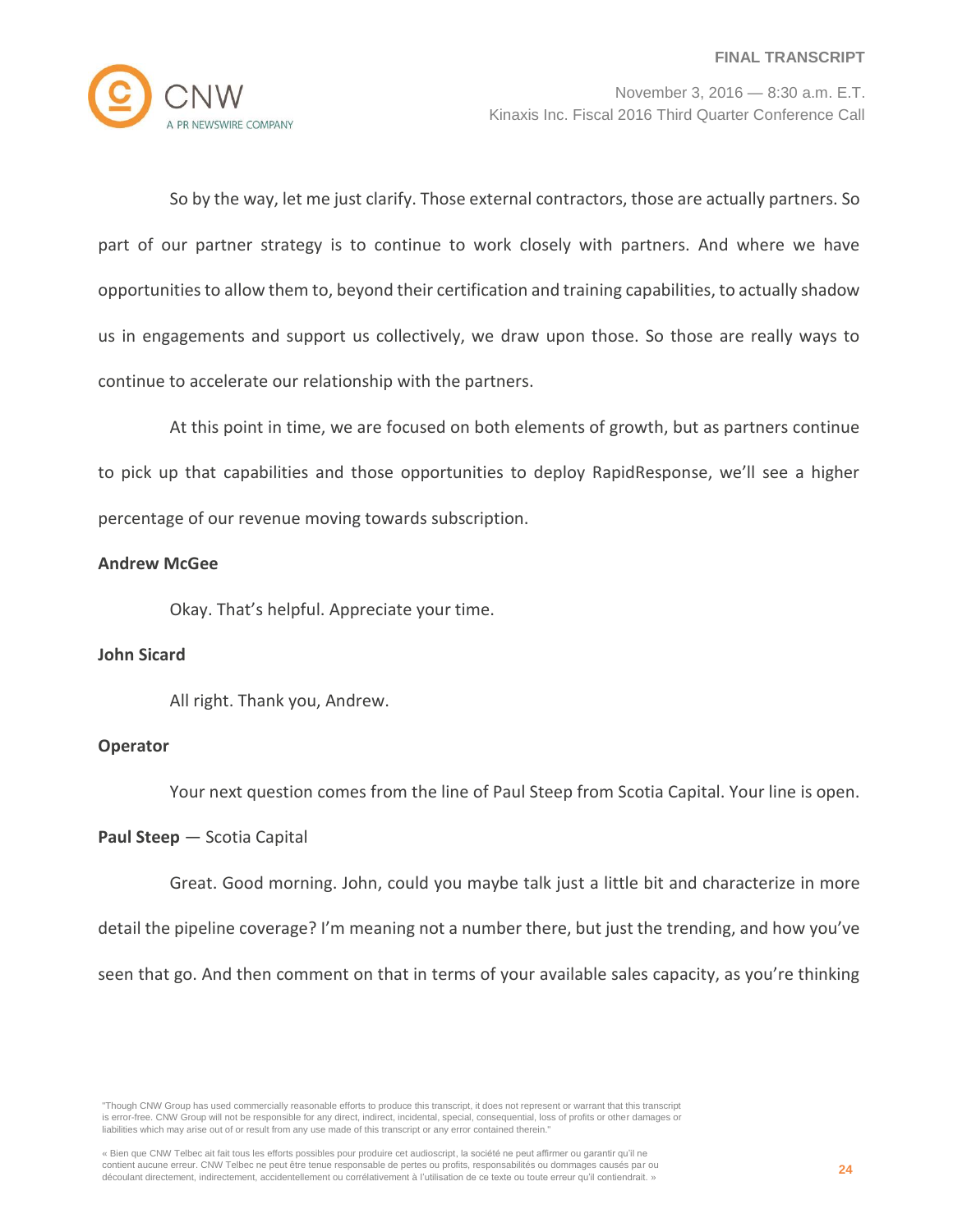

So by the way, let me just clarify. Those external contractors, those are actually partners. So part of our partner strategy is to continue to work closely with partners. And where we have opportunities to allow them to, beyond their certification and training capabilities, to actually shadow us in engagements and support us collectively, we draw upon those. So those are really ways to continue to accelerate our relationship with the partners.

At this point in time, we are focused on both elements of growth, but as partners continue to pick up that capabilities and those opportunities to deploy RapidResponse, we'll see a higher percentage of our revenue moving towards subscription.

## **Andrew McGee**

Okay. That's helpful. Appreciate your time.

## **John Sicard**

All right. Thank you, Andrew.

#### **Operator**

Your next question comes from the line of Paul Steep from Scotia Capital. Your line is open.

#### **Paul Steep** — Scotia Capital

Great. Good morning. John, could you maybe talk just a little bit and characterize in more detail the pipeline coverage? I'm meaning not a number there, but just the trending, and how you've seen that go. And then comment on that in terms of your available sales capacity, as you're thinking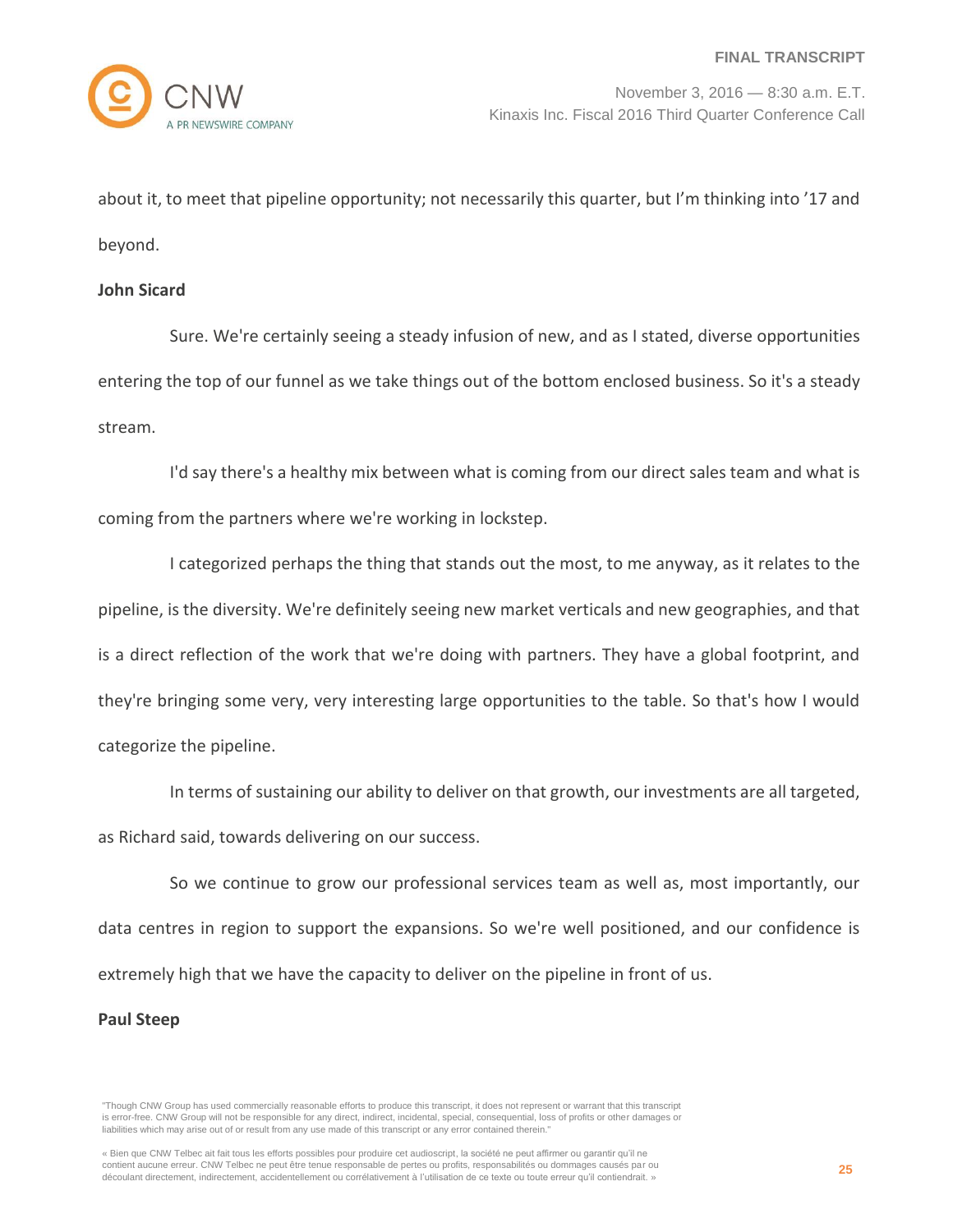about it, to meet that pipeline opportunity; not necessarily this quarter, but I'm thinking into '17 and beyond.

#### **John Sicard**

Sure. We're certainly seeing a steady infusion of new, and as I stated, diverse opportunities entering the top of our funnel as we take things out of the bottom enclosed business. So it's a steady stream.

I'd say there's a healthy mix between what is coming from our direct sales team and what is coming from the partners where we're working in lockstep.

I categorized perhaps the thing that stands out the most, to me anyway, as it relates to the pipeline, is the diversity. We're definitely seeing new market verticals and new geographies, and that is a direct reflection of the work that we're doing with partners. They have a global footprint, and they're bringing some very, very interesting large opportunities to the table. So that's how I would categorize the pipeline.

In terms of sustaining our ability to deliver on that growth, our investments are all targeted, as Richard said, towards delivering on our success.

So we continue to grow our professional services team as well as, most importantly, our data centres in region to support the expansions. So we're well positioned, and our confidence is extremely high that we have the capacity to deliver on the pipeline in front of us.

#### **Paul Steep**

<sup>&</sup>quot;Though CNW Group has used commercially reasonable efforts to produce this transcript, it does not represent or warrant that this transcript is error-free. CNW Group will not be responsible for any direct, indirect, incidental, special, consequential, loss of profits or other damages or liabilities which may arise out of or result from any use made of this transcript or any error contained therein."

<sup>«</sup> Bien que CNW Telbec ait fait tous les efforts possibles pour produire cet audioscript, la société ne peut affirmer ou garantir qu'il ne contient aucune erreur. CNW Telbec ne peut être tenue responsable de pertes ou profits, responsabilités ou dommages causés par ou découlant directement, indirectement, accidentellement ou corrélativement à l'utilisation de ce texte ou toute erreur qu'il contiendrait. »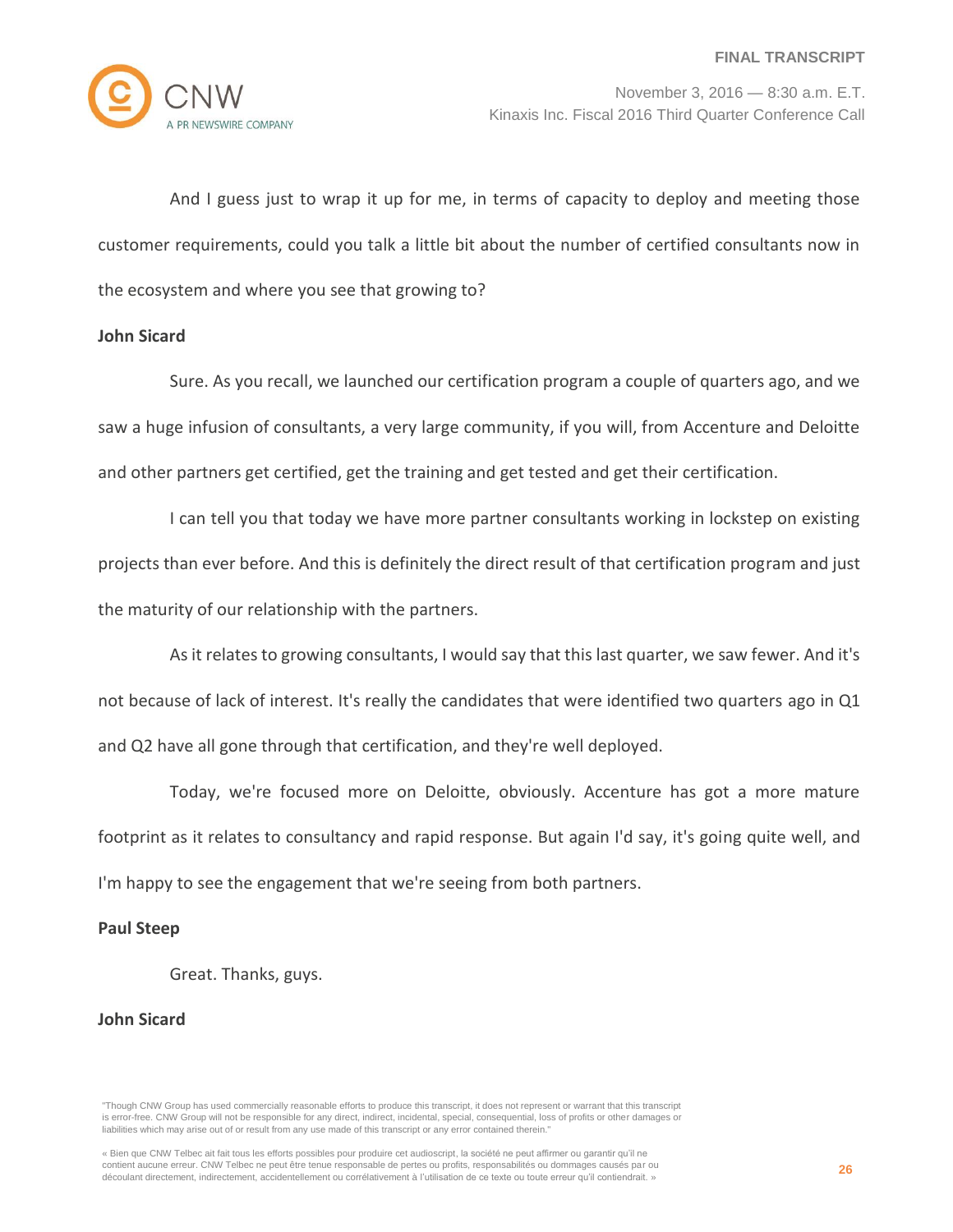

And I guess just to wrap it up for me, in terms of capacity to deploy and meeting those customer requirements, could you talk a little bit about the number of certified consultants now in the ecosystem and where you see that growing to?

## **John Sicard**

Sure. As you recall, we launched our certification program a couple of quarters ago, and we saw a huge infusion of consultants, a very large community, if you will, from Accenture and Deloitte and other partners get certified, get the training and get tested and get their certification.

I can tell you that today we have more partner consultants working in lockstep on existing projects than ever before. And this is definitely the direct result of that certification program and just the maturity of our relationship with the partners.

As it relates to growing consultants, I would say that this last quarter, we saw fewer. And it's not because of lack of interest. It's really the candidates that were identified two quarters ago in Q1 and Q2 have all gone through that certification, and they're well deployed.

Today, we're focused more on Deloitte, obviously. Accenture has got a more mature footprint as it relates to consultancy and rapid response. But again I'd say, it's going quite well, and I'm happy to see the engagement that we're seeing from both partners.

#### **Paul Steep**

Great. Thanks, guys.

#### **John Sicard**

<sup>&</sup>quot;Though CNW Group has used commercially reasonable efforts to produce this transcript, it does not represent or warrant that this transcript is error-free. CNW Group will not be responsible for any direct, indirect, incidental, special, consequential, loss of profits or other damages or liabilities which may arise out of or result from any use made of this transcript or any error contained therein."

<sup>«</sup> Bien que CNW Telbec ait fait tous les efforts possibles pour produire cet audioscript, la société ne peut affirmer ou garantir qu'il ne contient aucune erreur. CNW Telbec ne peut être tenue responsable de pertes ou profits, responsabilités ou dommages causés par ou découlant directement, indirectement, accidentellement ou corrélativement à l'utilisation de ce texte ou toute erreur qu'il contiendrait. »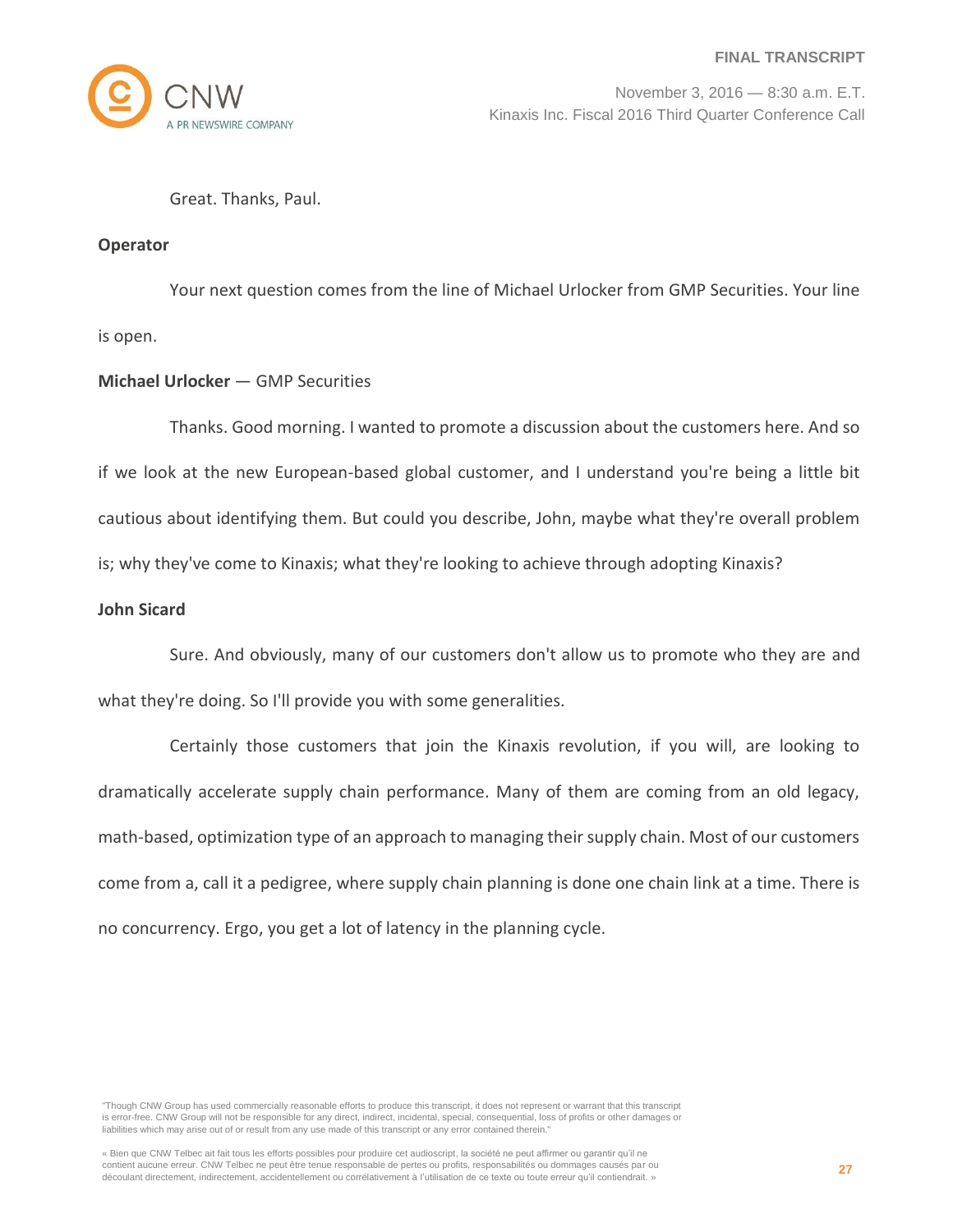

Great. Thanks, Paul.

## **Operator**

Your next question comes from the line of Michael Urlocker from GMP Securities. Your line is open.

# **Michael Urlocker** — GMP Securities

Thanks. Good morning. I wanted to promote a discussion about the customers here. And so if we look at the new European-based global customer, and I understand you're being a little bit cautious about identifying them. But could you describe, John, maybe what they're overall problem is; why they've come to Kinaxis; what they're looking to achieve through adopting Kinaxis?

## **John Sicard**

Sure. And obviously, many of our customers don't allow us to promote who they are and what they're doing. So I'll provide you with some generalities.

Certainly those customers that join the Kinaxis revolution, if you will, are looking to dramatically accelerate supply chain performance. Many of them are coming from an old legacy, math-based, optimization type of an approach to managing their supply chain. Most of our customers come from a, call it a pedigree, where supply chain planning is done one chain link at a time. There is no concurrency. Ergo, you get a lot of latency in the planning cycle.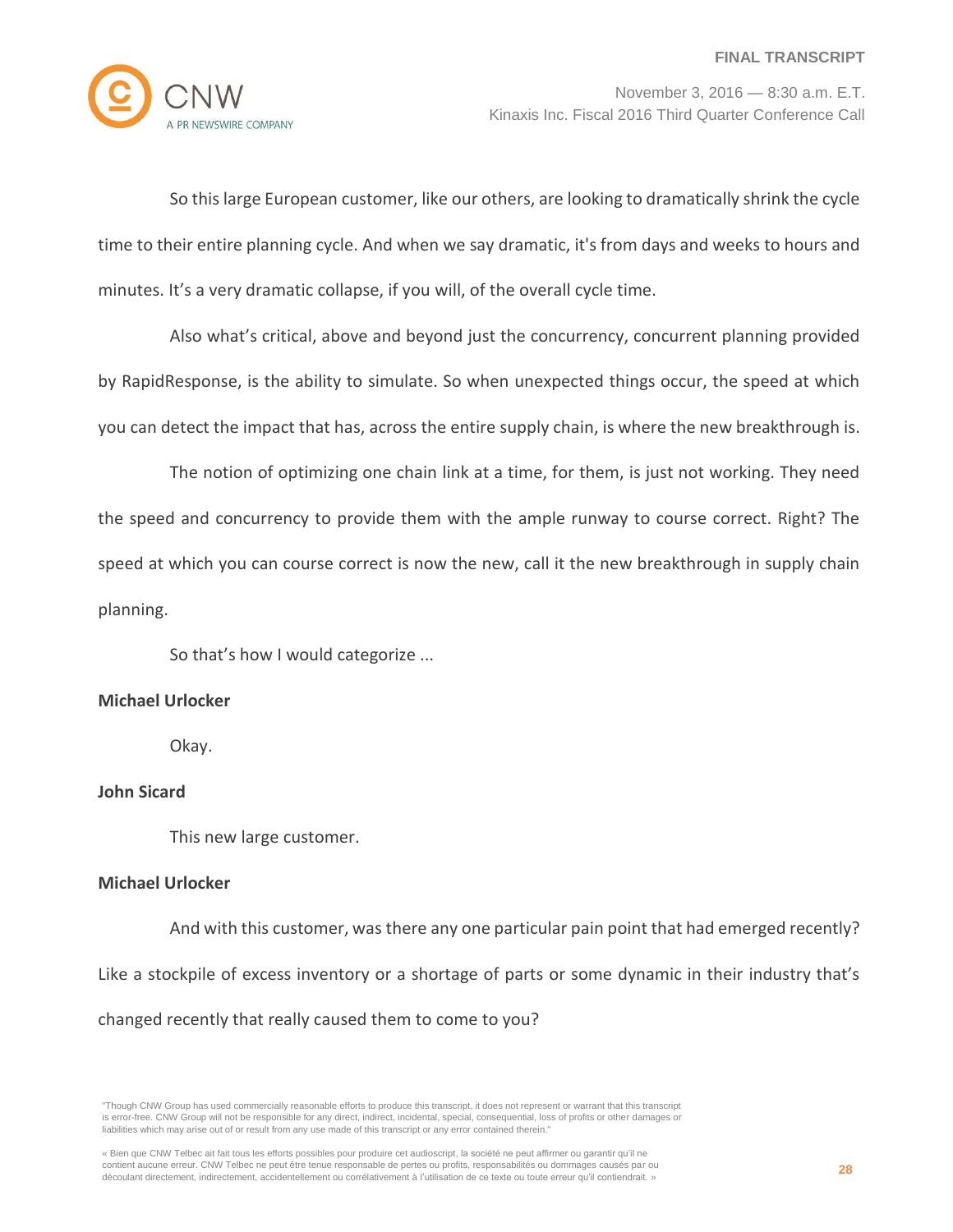

So this large European customer, like our others, are looking to dramatically shrink the cycle time to their entire planning cycle. And when we say dramatic, it's from days and weeks to hours and minutes. It's a very dramatic collapse, if you will, of the overall cycle time.

Also what's critical, above and beyond just the concurrency, concurrent planning provided by RapidResponse, is the ability to simulate. So when unexpected things occur, the speed at which you can detect the impact that has, across the entire supply chain, is where the new breakthrough is.

The notion of optimizing one chain link at a time, for them, is just not working. They need the speed and concurrency to provide them with the ample runway to course correct. Right? The speed at which you can course correct is now the new, call it the new breakthrough in supply chain planning.

So that's how I would categorize ...

## **Michael Urlocker**

Okay.

#### **John Sicard**

This new large customer.

## **Michael Urlocker**

And with this customer, was there any one particular pain point that had emerged recently? Like a stockpile of excess inventory or a shortage of parts or some dynamic in their industry that's changed recently that really caused them to come to you?

<sup>&</sup>quot;Though CNW Group has used commercially reasonable efforts to produce this transcript, it does not represent or warrant that this transcript is error-free. CNW Group will not be responsible for any direct, indirect, incidental, special, consequential, loss of profits or other damages or liabilities which may arise out of or result from any use made of this transcript or any error contained therein."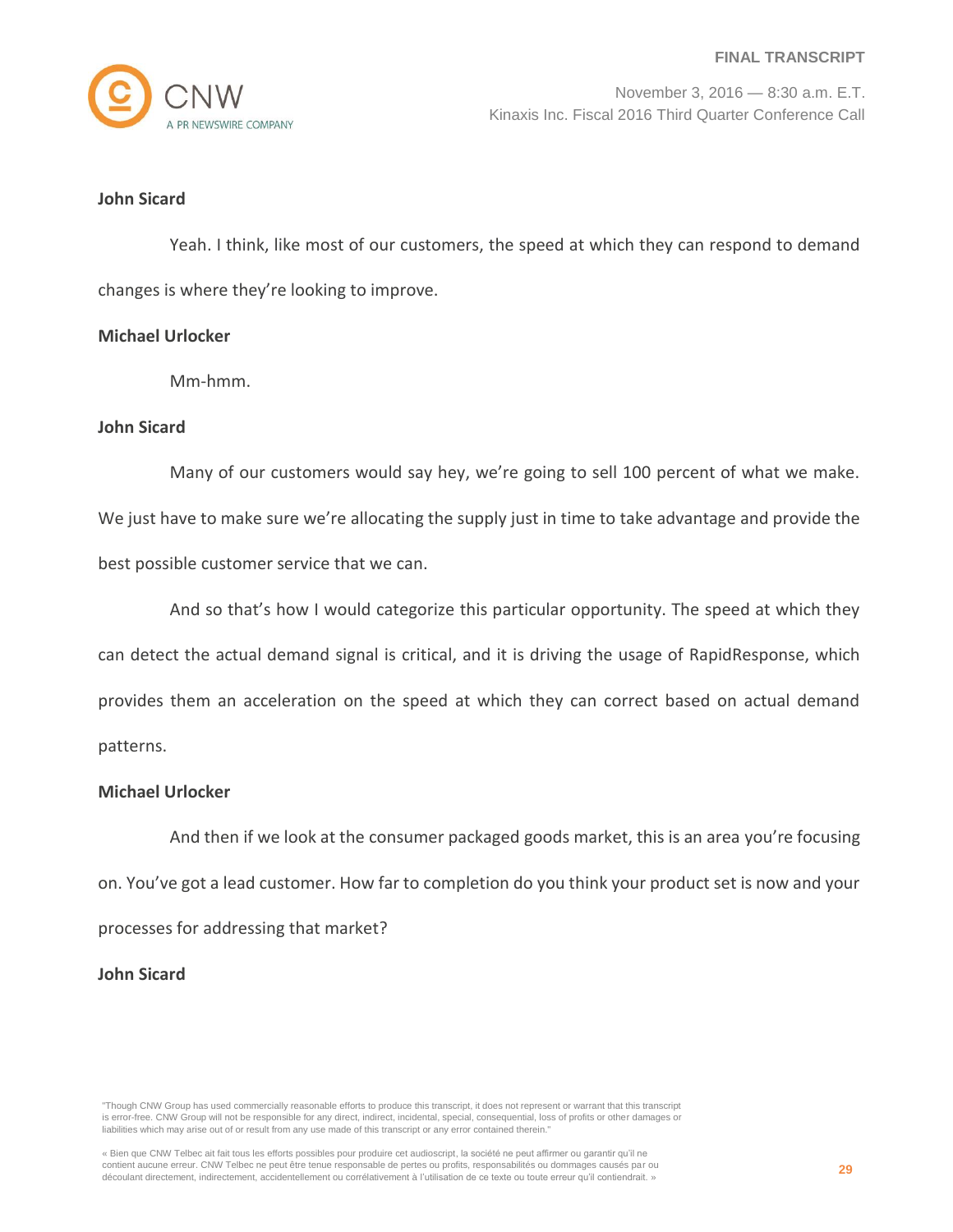

## **John Sicard**

Yeah. I think, like most of our customers, the speed at which they can respond to demand changes is where they're looking to improve.

## **Michael Urlocker**

Mm-hmm.

#### **John Sicard**

Many of our customers would say hey, we're going to sell 100 percent of what we make. We just have to make sure we're allocating the supply just in time to take advantage and provide the best possible customer service that we can.

And so that's how I would categorize this particular opportunity. The speed at which they can detect the actual demand signal is critical, and it is driving the usage of RapidResponse, which provides them an acceleration on the speed at which they can correct based on actual demand patterns.

#### **Michael Urlocker**

And then if we look at the consumer packaged goods market, this is an area you're focusing on. You've got a lead customer. How far to completion do you think your product set is now and your processes for addressing that market?

### **John Sicard**

<sup>&</sup>quot;Though CNW Group has used commercially reasonable efforts to produce this transcript, it does not represent or warrant that this transcript is error-free. CNW Group will not be responsible for any direct, indirect, incidental, special, consequential, loss of profits or other damages or liabilities which may arise out of or result from any use made of this transcript or any error contained therein."

<sup>«</sup> Bien que CNW Telbec ait fait tous les efforts possibles pour produire cet audioscript, la société ne peut affirmer ou garantir qu'il ne contient aucune erreur. CNW Telbec ne peut être tenue responsable de pertes ou profits, responsabilités ou dommages causés par ou découlant directement, indirectement, accidentellement ou corrélativement à l'utilisation de ce texte ou toute erreur qu'il contiendrait. »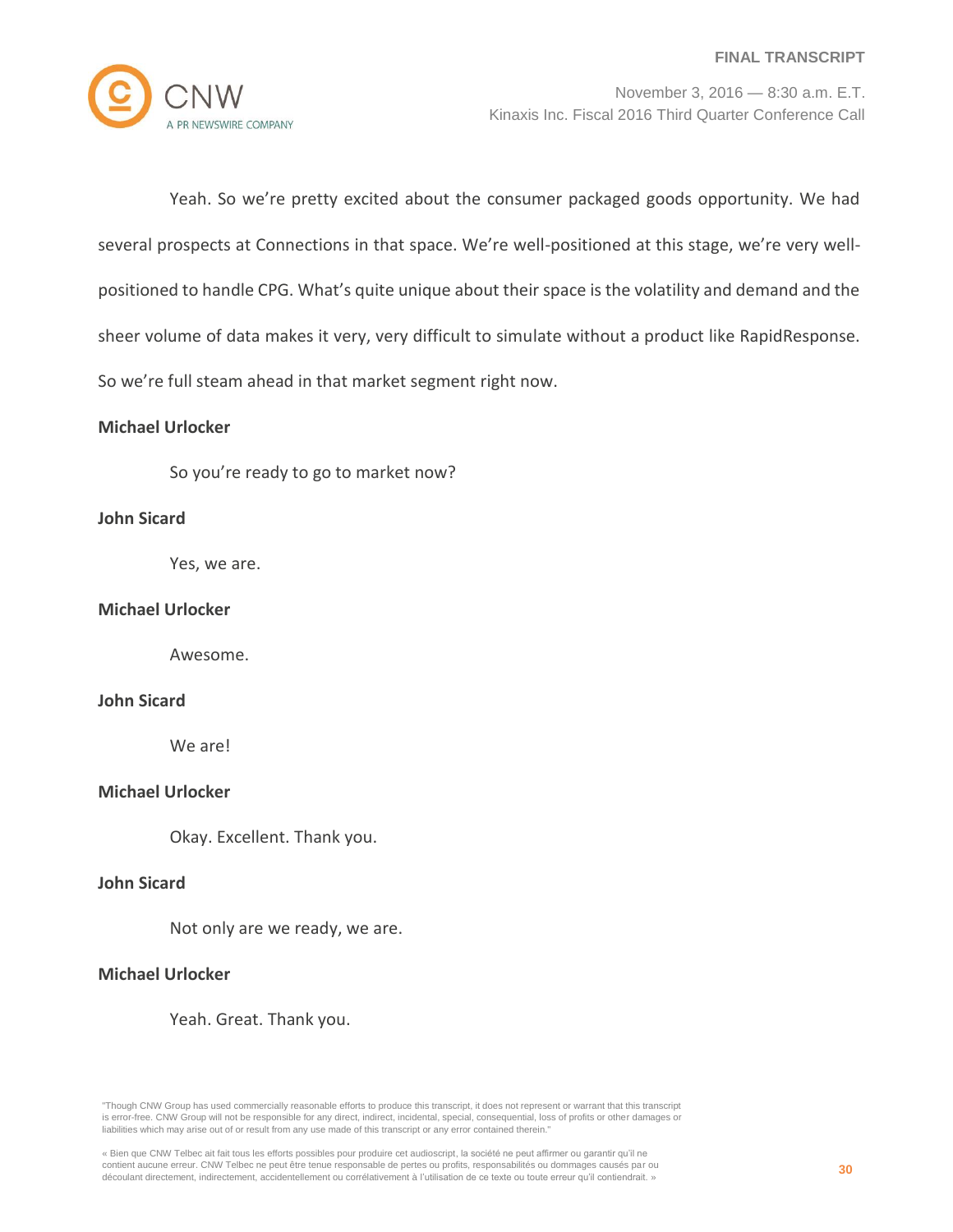

Yeah. So we're pretty excited about the consumer packaged goods opportunity. We had several prospects at Connections in that space. We're well-positioned at this stage, we're very wellpositioned to handle CPG. What's quite unique about their space is the volatility and demand and the sheer volume of data makes it very, very difficult to simulate without a product like RapidResponse. So we're full steam ahead in that market segment right now.

#### **Michael Urlocker**

So you're ready to go to market now?

## **John Sicard**

Yes, we are.

### **Michael Urlocker**

Awesome.

#### **John Sicard**

We are!

# **Michael Urlocker**

Okay. Excellent. Thank you.

## **John Sicard**

Not only are we ready, we are.

### **Michael Urlocker**

Yeah. Great. Thank you.

<sup>«</sup> Bien que CNW Telbec ait fait tous les efforts possibles pour produire cet audioscript, la société ne peut affirmer ou garantir qu'il ne contient aucune erreur. CNW Telbec ne peut être tenue responsable de pertes ou profits, responsabilités ou dommages causés par ou découlant directement, indirectement, accidentellement ou corrélativement à l'utilisation de ce texte ou toute erreur qu'il contiendrait. »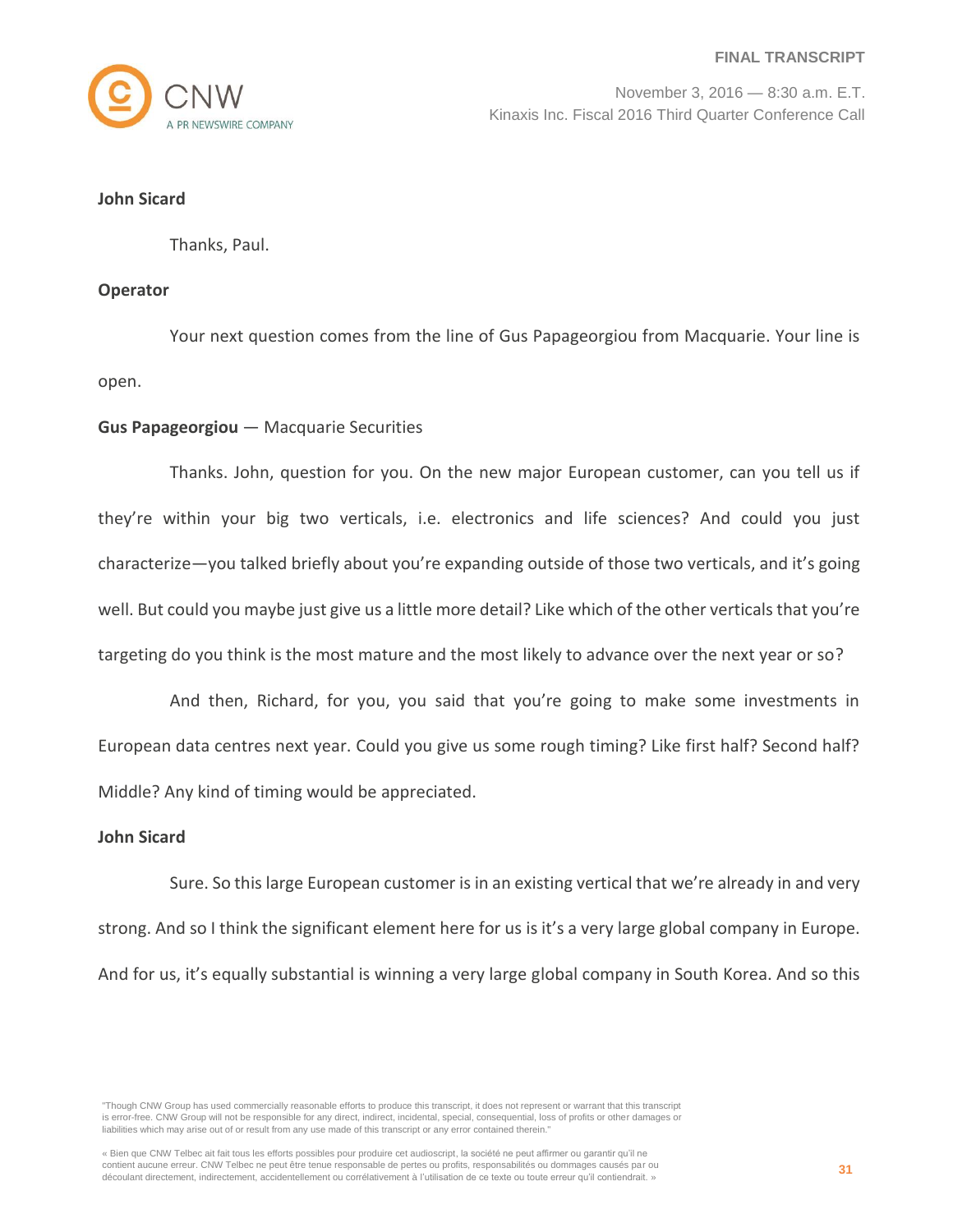

#### **John Sicard**

Thanks, Paul.

### **Operator**

Your next question comes from the line of Gus Papageorgiou from Macquarie. Your line is open.

## **Gus Papageorgiou** — Macquarie Securities

Thanks. John, question for you. On the new major European customer, can you tell us if they're within your big two verticals, i.e. electronics and life sciences? And could you just characterize—you talked briefly about you're expanding outside of those two verticals, and it's going well. But could you maybe just give us a little more detail? Like which of the other verticals that you're targeting do you think is the most mature and the most likely to advance over the next year or so?

And then, Richard, for you, you said that you're going to make some investments in European data centres next year. Could you give us some rough timing? Like first half? Second half? Middle? Any kind of timing would be appreciated.

#### **John Sicard**

Sure. So this large European customer is in an existing vertical that we're already in and very strong. And so I think the significant element here for us is it's a very large global company in Europe. And for us, it's equally substantial is winning a very large global company in South Korea. And so this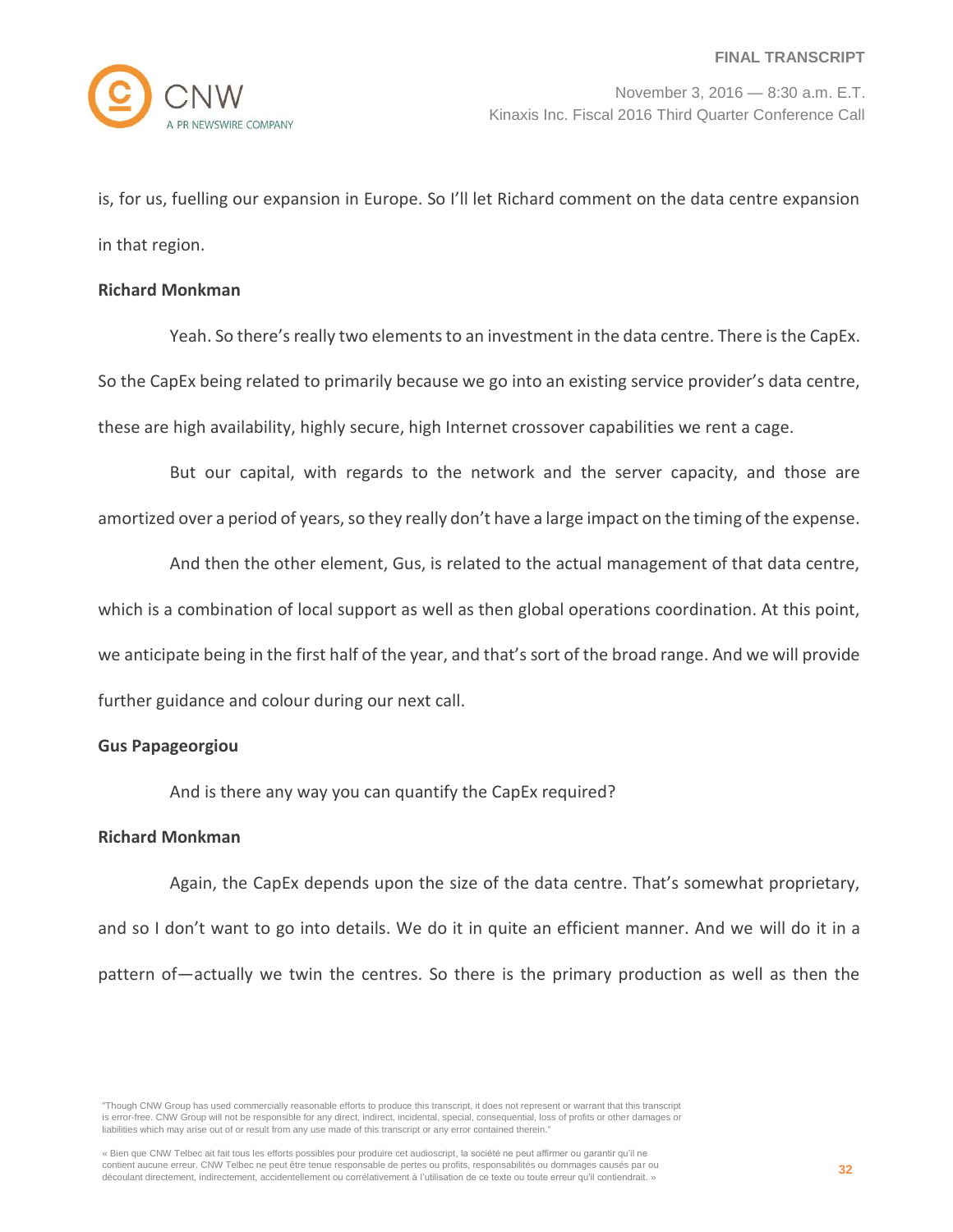is, for us, fuelling our expansion in Europe. So I'll let Richard comment on the data centre expansion in that region.

#### **Richard Monkman**

Yeah. So there's really two elements to an investment in the data centre. There is the CapEx. So the CapEx being related to primarily because we go into an existing service provider's data centre, these are high availability, highly secure, high Internet crossover capabilities we rent a cage.

But our capital, with regards to the network and the server capacity, and those are amortized over a period of years, so they really don't have a large impact on the timing of the expense.

And then the other element, Gus, is related to the actual management of that data centre, which is a combination of local support as well as then global operations coordination. At this point, we anticipate being in the first half of the year, and that's sort of the broad range. And we will provide further guidance and colour during our next call.

## **Gus Papageorgiou**

And is there any way you can quantify the CapEx required?

#### **Richard Monkman**

Again, the CapEx depends upon the size of the data centre. That's somewhat proprietary, and so I don't want to go into details. We do it in quite an efficient manner. And we will do it in a pattern of—actually we twin the centres. So there is the primary production as well as then the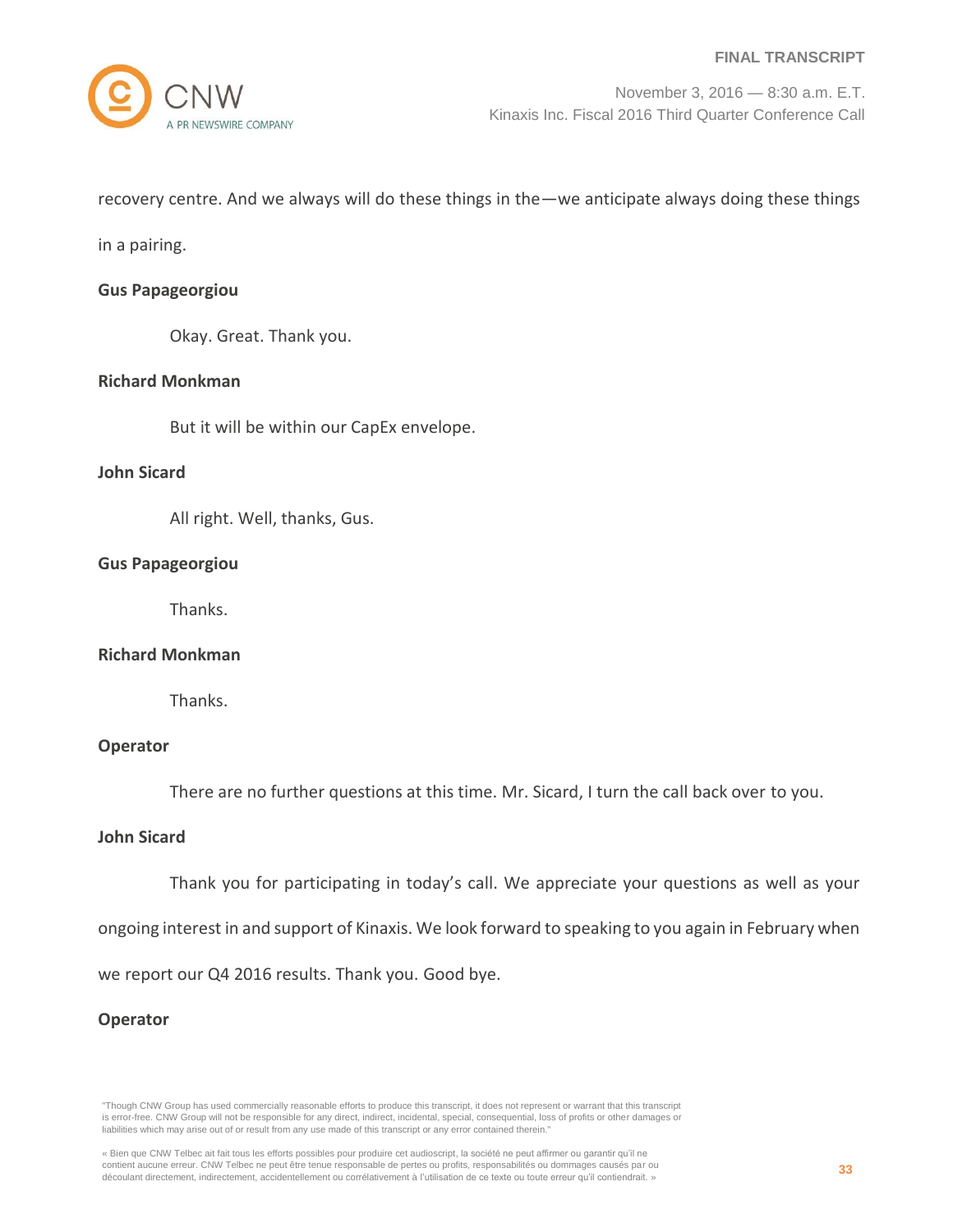recovery centre. And we always will do these things in the—we anticipate always doing these things

in a pairing.

#### **Gus Papageorgiou**

Okay. Great. Thank you.

## **Richard Monkman**

But it will be within our CapEx envelope.

#### **John Sicard**

All right. Well, thanks, Gus.

## **Gus Papageorgiou**

Thanks.

#### **Richard Monkman**

Thanks.

#### **Operator**

There are no further questions at this time. Mr. Sicard, I turn the call back over to you.

## **John Sicard**

Thank you for participating in today's call. We appreciate your questions as well as your

ongoing interest in and support of Kinaxis. We look forward to speaking to you again in February when

we report our Q4 2016 results. Thank you. Good bye.

#### **Operator**

<sup>«</sup> Bien que CNW Telbec ait fait tous les efforts possibles pour produire cet audioscript, la société ne peut affirmer ou garantir qu'il ne contient aucune erreur. CNW Telbec ne peut être tenue responsable de pertes ou profits, responsabilités ou dommages causés par ou découlant directement, indirectement, accidentellement ou corrélativement à l'utilisation de ce texte ou toute erreur qu'il contiendrait. »